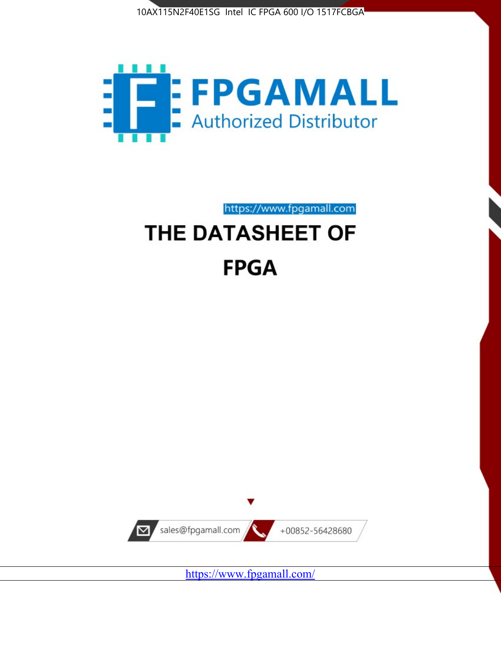



https://www.fpgamall.com

# THE DATASHEET OF **FPGA**



<https://www.fpgamall.com/>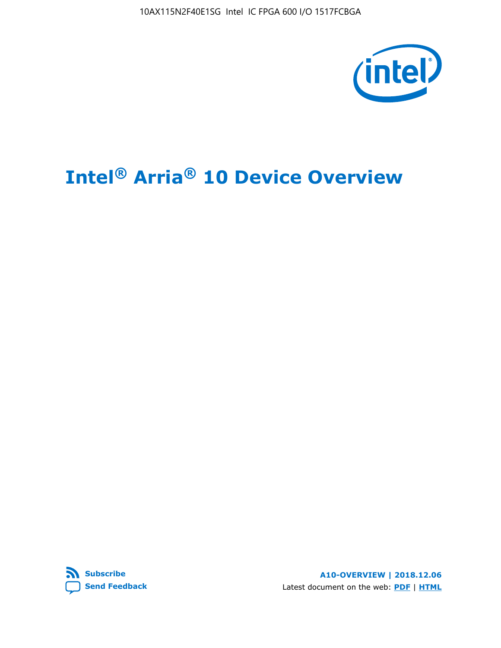10AX115N2F40E1SG Intel IC FPGA 600 I/O 1517FCBGA



# **Intel® Arria® 10 Device Overview**



**A10-OVERVIEW | 2018.12.06** Latest document on the web: **[PDF](https://www.intel.com/content/dam/www/programmable/us/en/pdfs/literature/hb/arria-10/a10_overview.pdf)** | **[HTML](https://www.intel.com/content/www/us/en/programmable/documentation/sam1403480274650.html)**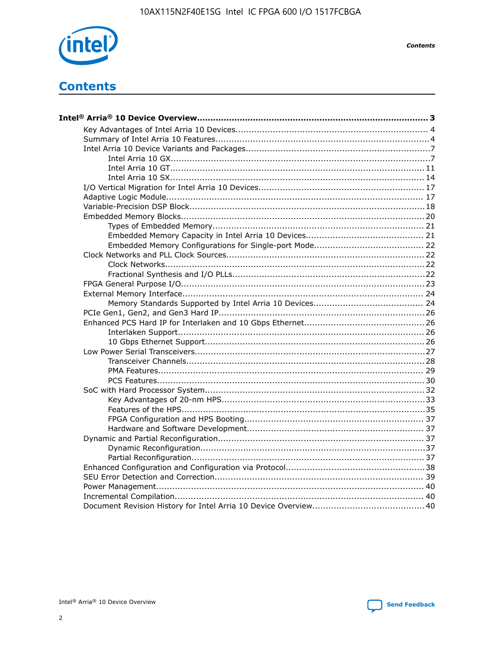

**Contents** 

# **Contents**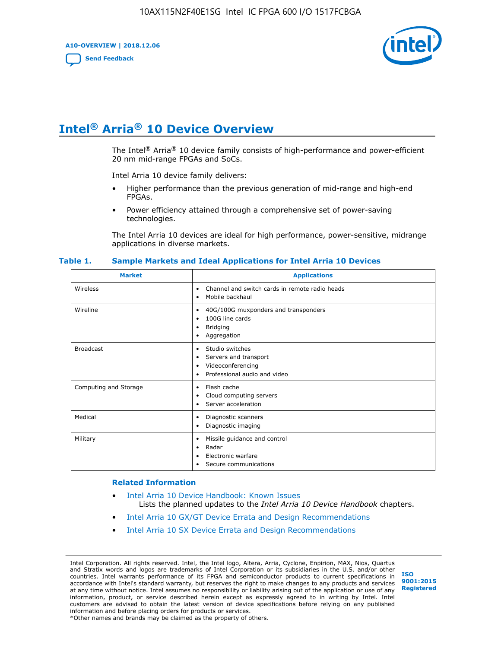**A10-OVERVIEW | 2018.12.06**

**[Send Feedback](mailto:FPGAtechdocfeedback@intel.com?subject=Feedback%20on%20Intel%20Arria%2010%20Device%20Overview%20(A10-OVERVIEW%202018.12.06)&body=We%20appreciate%20your%20feedback.%20In%20your%20comments,%20also%20specify%20the%20page%20number%20or%20paragraph.%20Thank%20you.)**



# **Intel® Arria® 10 Device Overview**

The Intel<sup>®</sup> Arria<sup>®</sup> 10 device family consists of high-performance and power-efficient 20 nm mid-range FPGAs and SoCs.

Intel Arria 10 device family delivers:

- Higher performance than the previous generation of mid-range and high-end FPGAs.
- Power efficiency attained through a comprehensive set of power-saving technologies.

The Intel Arria 10 devices are ideal for high performance, power-sensitive, midrange applications in diverse markets.

| <b>Market</b>         | <b>Applications</b>                                                                                               |
|-----------------------|-------------------------------------------------------------------------------------------------------------------|
| Wireless              | Channel and switch cards in remote radio heads<br>٠<br>Mobile backhaul<br>٠                                       |
| Wireline              | 40G/100G muxponders and transponders<br>٠<br>100G line cards<br>٠<br><b>Bridging</b><br>٠<br>Aggregation<br>٠     |
| <b>Broadcast</b>      | Studio switches<br>٠<br>Servers and transport<br>٠<br>Videoconferencing<br>٠<br>Professional audio and video<br>٠ |
| Computing and Storage | Flash cache<br>٠<br>Cloud computing servers<br>٠<br>Server acceleration<br>٠                                      |
| Medical               | Diagnostic scanners<br>٠<br>Diagnostic imaging<br>٠                                                               |
| Military              | Missile guidance and control<br>٠<br>Radar<br>٠<br>Electronic warfare<br>٠<br>Secure communications<br>٠          |

#### **Table 1. Sample Markets and Ideal Applications for Intel Arria 10 Devices**

#### **Related Information**

- [Intel Arria 10 Device Handbook: Known Issues](http://www.altera.com/support/kdb/solutions/rd07302013_646.html) Lists the planned updates to the *Intel Arria 10 Device Handbook* chapters.
- [Intel Arria 10 GX/GT Device Errata and Design Recommendations](https://www.intel.com/content/www/us/en/programmable/documentation/agz1493851706374.html#yqz1494433888646)
- [Intel Arria 10 SX Device Errata and Design Recommendations](https://www.intel.com/content/www/us/en/programmable/documentation/cru1462832385668.html#cru1462832558642)

Intel Corporation. All rights reserved. Intel, the Intel logo, Altera, Arria, Cyclone, Enpirion, MAX, Nios, Quartus and Stratix words and logos are trademarks of Intel Corporation or its subsidiaries in the U.S. and/or other countries. Intel warrants performance of its FPGA and semiconductor products to current specifications in accordance with Intel's standard warranty, but reserves the right to make changes to any products and services at any time without notice. Intel assumes no responsibility or liability arising out of the application or use of any information, product, or service described herein except as expressly agreed to in writing by Intel. Intel customers are advised to obtain the latest version of device specifications before relying on any published information and before placing orders for products or services. \*Other names and brands may be claimed as the property of others.

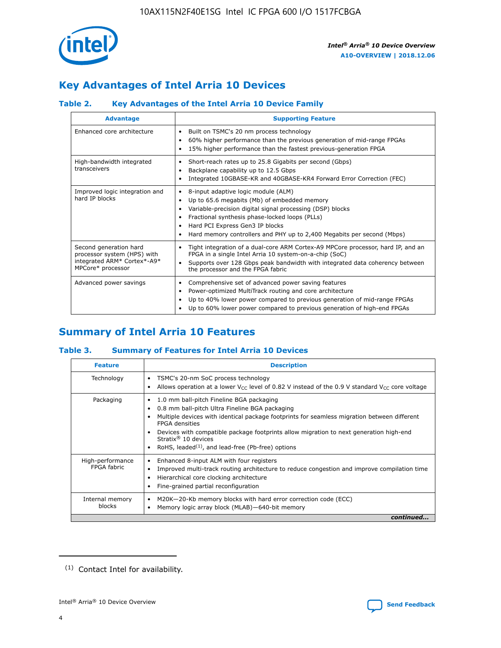

# **Key Advantages of Intel Arria 10 Devices**

## **Table 2. Key Advantages of the Intel Arria 10 Device Family**

| <b>Advantage</b>                                                                                          | <b>Supporting Feature</b>                                                                                                                                                                                                                                                                                                |
|-----------------------------------------------------------------------------------------------------------|--------------------------------------------------------------------------------------------------------------------------------------------------------------------------------------------------------------------------------------------------------------------------------------------------------------------------|
| Enhanced core architecture                                                                                | Built on TSMC's 20 nm process technology<br>٠<br>60% higher performance than the previous generation of mid-range FPGAs<br>٠<br>15% higher performance than the fastest previous-generation FPGA<br>٠                                                                                                                    |
| High-bandwidth integrated<br>transceivers                                                                 | Short-reach rates up to 25.8 Gigabits per second (Gbps)<br>٠<br>Backplane capability up to 12.5 Gbps<br>٠<br>Integrated 10GBASE-KR and 40GBASE-KR4 Forward Error Correction (FEC)<br>٠                                                                                                                                   |
| Improved logic integration and<br>hard IP blocks                                                          | 8-input adaptive logic module (ALM)<br>٠<br>Up to 65.6 megabits (Mb) of embedded memory<br>٠<br>Variable-precision digital signal processing (DSP) blocks<br>Fractional synthesis phase-locked loops (PLLs)<br>Hard PCI Express Gen3 IP blocks<br>Hard memory controllers and PHY up to 2,400 Megabits per second (Mbps) |
| Second generation hard<br>processor system (HPS) with<br>integrated ARM* Cortex*-A9*<br>MPCore* processor | Tight integration of a dual-core ARM Cortex-A9 MPCore processor, hard IP, and an<br>٠<br>FPGA in a single Intel Arria 10 system-on-a-chip (SoC)<br>Supports over 128 Gbps peak bandwidth with integrated data coherency between<br>$\bullet$<br>the processor and the FPGA fabric                                        |
| Advanced power savings                                                                                    | Comprehensive set of advanced power saving features<br>٠<br>Power-optimized MultiTrack routing and core architecture<br>٠<br>Up to 40% lower power compared to previous generation of mid-range FPGAs<br>Up to 60% lower power compared to previous generation of high-end FPGAs                                         |

# **Summary of Intel Arria 10 Features**

## **Table 3. Summary of Features for Intel Arria 10 Devices**

| <b>Feature</b>                  | <b>Description</b>                                                                                                                                                                                                                                                                                                                                                                                           |
|---------------------------------|--------------------------------------------------------------------------------------------------------------------------------------------------------------------------------------------------------------------------------------------------------------------------------------------------------------------------------------------------------------------------------------------------------------|
| Technology                      | TSMC's 20-nm SoC process technology<br>Allows operation at a lower $V_{\text{CC}}$ level of 0.82 V instead of the 0.9 V standard $V_{\text{CC}}$ core voltage                                                                                                                                                                                                                                                |
| Packaging                       | 1.0 mm ball-pitch Fineline BGA packaging<br>٠<br>0.8 mm ball-pitch Ultra Fineline BGA packaging<br>Multiple devices with identical package footprints for seamless migration between different<br><b>FPGA</b> densities<br>Devices with compatible package footprints allow migration to next generation high-end<br>Stratix <sup>®</sup> 10 devices<br>RoHS, leaded $(1)$ , and lead-free (Pb-free) options |
| High-performance<br>FPGA fabric | Enhanced 8-input ALM with four registers<br>Improved multi-track routing architecture to reduce congestion and improve compilation time<br>Hierarchical core clocking architecture<br>Fine-grained partial reconfiguration                                                                                                                                                                                   |
| Internal memory<br>blocks       | M20K-20-Kb memory blocks with hard error correction code (ECC)<br>Memory logic array block (MLAB)-640-bit memory                                                                                                                                                                                                                                                                                             |
|                                 | continued                                                                                                                                                                                                                                                                                                                                                                                                    |



<sup>(1)</sup> Contact Intel for availability.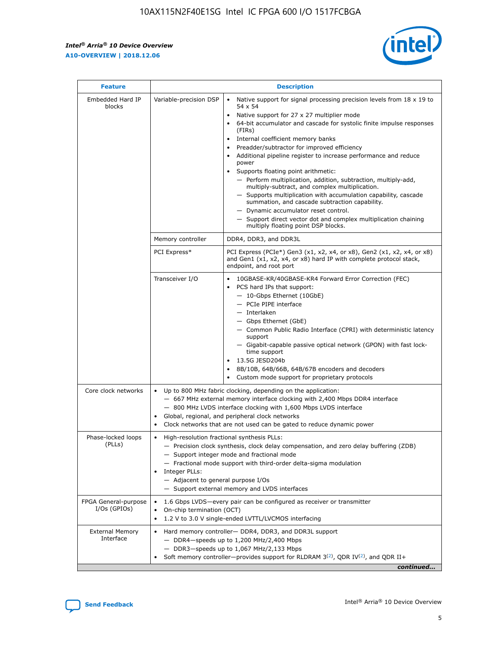$\mathsf{r}$ 



| <b>Feature</b>                         |                                                                                                                | <b>Description</b>                                                                                                                                                                                                                                                                                                                                                                                                                                                                                                                                                                                                                                                                                                                                                                                                                          |
|----------------------------------------|----------------------------------------------------------------------------------------------------------------|---------------------------------------------------------------------------------------------------------------------------------------------------------------------------------------------------------------------------------------------------------------------------------------------------------------------------------------------------------------------------------------------------------------------------------------------------------------------------------------------------------------------------------------------------------------------------------------------------------------------------------------------------------------------------------------------------------------------------------------------------------------------------------------------------------------------------------------------|
| Embedded Hard IP<br>blocks             | Variable-precision DSP                                                                                         | Native support for signal processing precision levels from $18 \times 19$ to<br>$\bullet$<br>54 x 54<br>Native support for 27 x 27 multiplier mode<br>64-bit accumulator and cascade for systolic finite impulse responses<br>(FIRs)<br>Internal coefficient memory banks<br>٠<br>Preadder/subtractor for improved efficiency<br>Additional pipeline register to increase performance and reduce<br>power<br>Supports floating point arithmetic:<br>- Perform multiplication, addition, subtraction, multiply-add,<br>multiply-subtract, and complex multiplication.<br>- Supports multiplication with accumulation capability, cascade<br>summation, and cascade subtraction capability.<br>- Dynamic accumulator reset control.<br>- Support direct vector dot and complex multiplication chaining<br>multiply floating point DSP blocks. |
|                                        | Memory controller                                                                                              | DDR4, DDR3, and DDR3L                                                                                                                                                                                                                                                                                                                                                                                                                                                                                                                                                                                                                                                                                                                                                                                                                       |
|                                        | PCI Express*                                                                                                   | PCI Express (PCIe*) Gen3 (x1, x2, x4, or x8), Gen2 (x1, x2, x4, or x8)<br>and Gen1 (x1, x2, x4, or x8) hard IP with complete protocol stack,<br>endpoint, and root port                                                                                                                                                                                                                                                                                                                                                                                                                                                                                                                                                                                                                                                                     |
|                                        | Transceiver I/O                                                                                                | 10GBASE-KR/40GBASE-KR4 Forward Error Correction (FEC)<br>PCS hard IPs that support:<br>- 10-Gbps Ethernet (10GbE)<br>- PCIe PIPE interface<br>- Interlaken<br>- Gbps Ethernet (GbE)<br>- Common Public Radio Interface (CPRI) with deterministic latency<br>support<br>- Gigabit-capable passive optical network (GPON) with fast lock-<br>time support<br>13.5G JESD204b<br>$\bullet$<br>8B/10B, 64B/66B, 64B/67B encoders and decoders<br>Custom mode support for proprietary protocols                                                                                                                                                                                                                                                                                                                                                   |
| Core clock networks                    | $\bullet$<br>$\bullet$                                                                                         | Up to 800 MHz fabric clocking, depending on the application:<br>- 667 MHz external memory interface clocking with 2,400 Mbps DDR4 interface<br>- 800 MHz LVDS interface clocking with 1,600 Mbps LVDS interface<br>Global, regional, and peripheral clock networks<br>Clock networks that are not used can be gated to reduce dynamic power                                                                                                                                                                                                                                                                                                                                                                                                                                                                                                 |
| Phase-locked loops<br>(PLLs)           | High-resolution fractional synthesis PLLs:<br>$\bullet$<br>Integer PLLs:<br>- Adjacent to general purpose I/Os | - Precision clock synthesis, clock delay compensation, and zero delay buffering (ZDB)<br>- Support integer mode and fractional mode<br>- Fractional mode support with third-order delta-sigma modulation<br>- Support external memory and LVDS interfaces                                                                                                                                                                                                                                                                                                                                                                                                                                                                                                                                                                                   |
| FPGA General-purpose<br>$I/Os$ (GPIOs) | On-chip termination (OCT)<br>$\bullet$                                                                         | 1.6 Gbps LVDS-every pair can be configured as receiver or transmitter<br>1.2 V to 3.0 V single-ended LVTTL/LVCMOS interfacing                                                                                                                                                                                                                                                                                                                                                                                                                                                                                                                                                                                                                                                                                                               |
| <b>External Memory</b><br>Interface    |                                                                                                                | Hard memory controller- DDR4, DDR3, and DDR3L support<br>$-$ DDR4 $-$ speeds up to 1,200 MHz/2,400 Mbps<br>- DDR3-speeds up to 1,067 MHz/2,133 Mbps<br>Soft memory controller—provides support for RLDRAM $3^{(2)}$ , QDR IV $(2^2)$ , and QDR II+<br>continued                                                                                                                                                                                                                                                                                                                                                                                                                                                                                                                                                                             |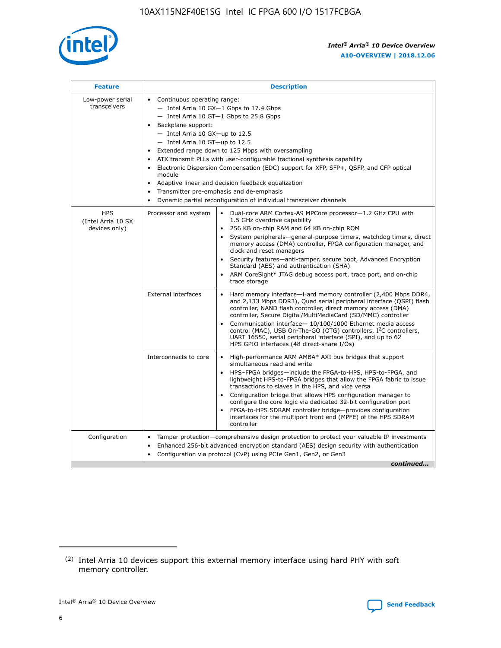

| <b>Feature</b>                                    | <b>Description</b>                                                                                                                                                                                                                                                                                                                                                                                                                                                                                                                                                                                                                         |  |  |  |  |  |  |  |
|---------------------------------------------------|--------------------------------------------------------------------------------------------------------------------------------------------------------------------------------------------------------------------------------------------------------------------------------------------------------------------------------------------------------------------------------------------------------------------------------------------------------------------------------------------------------------------------------------------------------------------------------------------------------------------------------------------|--|--|--|--|--|--|--|
| Low-power serial<br>transceivers                  | • Continuous operating range:<br>- Intel Arria 10 GX-1 Gbps to 17.4 Gbps<br>- Intel Arria 10 GT-1 Gbps to 25.8 Gbps<br>Backplane support:<br>$-$ Intel Arria 10 GX-up to 12.5<br>- Intel Arria 10 GT-up to 12.5<br>Extended range down to 125 Mbps with oversampling<br>ATX transmit PLLs with user-configurable fractional synthesis capability<br>Electronic Dispersion Compensation (EDC) support for XFP, SFP+, QSFP, and CFP optical<br>module<br>• Adaptive linear and decision feedback equalization<br>Transmitter pre-emphasis and de-emphasis<br>$\bullet$<br>Dynamic partial reconfiguration of individual transceiver channels |  |  |  |  |  |  |  |
| <b>HPS</b><br>(Intel Arria 10 SX<br>devices only) | Dual-core ARM Cortex-A9 MPCore processor-1.2 GHz CPU with<br>Processor and system<br>$\bullet$<br>1.5 GHz overdrive capability<br>256 KB on-chip RAM and 64 KB on-chip ROM<br>System peripherals-general-purpose timers, watchdog timers, direct<br>memory access (DMA) controller, FPGA configuration manager, and<br>clock and reset managers<br>Security features-anti-tamper, secure boot, Advanced Encryption<br>$\bullet$<br>Standard (AES) and authentication (SHA)<br>ARM CoreSight* JTAG debug access port, trace port, and on-chip<br>trace storage                                                                              |  |  |  |  |  |  |  |
|                                                   | <b>External interfaces</b><br>Hard memory interface-Hard memory controller (2,400 Mbps DDR4,<br>$\bullet$<br>and 2,133 Mbps DDR3), Quad serial peripheral interface (QSPI) flash<br>controller, NAND flash controller, direct memory access (DMA)<br>controller, Secure Digital/MultiMediaCard (SD/MMC) controller<br>Communication interface-10/100/1000 Ethernet media access<br>$\bullet$<br>control (MAC), USB On-The-GO (OTG) controllers, I <sup>2</sup> C controllers,<br>UART 16550, serial peripheral interface (SPI), and up to 62<br>HPS GPIO interfaces (48 direct-share I/Os)                                                 |  |  |  |  |  |  |  |
|                                                   | High-performance ARM AMBA* AXI bus bridges that support<br>Interconnects to core<br>$\bullet$<br>simultaneous read and write<br>HPS-FPGA bridges-include the FPGA-to-HPS, HPS-to-FPGA, and<br>$\bullet$<br>lightweight HPS-to-FPGA bridges that allow the FPGA fabric to issue<br>transactions to slaves in the HPS, and vice versa<br>Configuration bridge that allows HPS configuration manager to<br>configure the core logic via dedicated 32-bit configuration port<br>FPGA-to-HPS SDRAM controller bridge-provides configuration<br>interfaces for the multiport front end (MPFE) of the HPS SDRAM<br>controller                     |  |  |  |  |  |  |  |
| Configuration                                     | Tamper protection—comprehensive design protection to protect your valuable IP investments<br>Enhanced 256-bit advanced encryption standard (AES) design security with authentication<br>٠<br>Configuration via protocol (CvP) using PCIe Gen1, Gen2, or Gen3<br>continued                                                                                                                                                                                                                                                                                                                                                                  |  |  |  |  |  |  |  |

<sup>(2)</sup> Intel Arria 10 devices support this external memory interface using hard PHY with soft memory controller.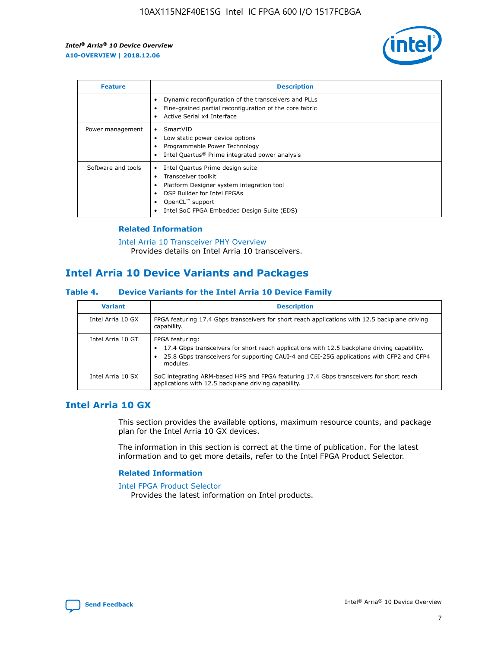

| <b>Feature</b>     | <b>Description</b>                                                                                                                                                                                               |
|--------------------|------------------------------------------------------------------------------------------------------------------------------------------------------------------------------------------------------------------|
|                    | Dynamic reconfiguration of the transceivers and PLLs<br>Fine-grained partial reconfiguration of the core fabric<br>Active Serial x4 Interface<br>$\bullet$                                                       |
| Power management   | SmartVID<br>Low static power device options<br>Programmable Power Technology<br>Intel Quartus <sup>®</sup> Prime integrated power analysis                                                                       |
| Software and tools | Intel Quartus Prime design suite<br>Transceiver toolkit<br>Platform Designer system integration tool<br>DSP Builder for Intel FPGAs<br>OpenCL <sup>™</sup> support<br>Intel SoC FPGA Embedded Design Suite (EDS) |

## **Related Information**

[Intel Arria 10 Transceiver PHY Overview](https://www.intel.com/content/www/us/en/programmable/documentation/nik1398707230472.html#nik1398706768037) Provides details on Intel Arria 10 transceivers.

# **Intel Arria 10 Device Variants and Packages**

#### **Table 4. Device Variants for the Intel Arria 10 Device Family**

| <b>Variant</b>    | <b>Description</b>                                                                                                                                                                                                     |
|-------------------|------------------------------------------------------------------------------------------------------------------------------------------------------------------------------------------------------------------------|
| Intel Arria 10 GX | FPGA featuring 17.4 Gbps transceivers for short reach applications with 12.5 backplane driving<br>capability.                                                                                                          |
| Intel Arria 10 GT | FPGA featuring:<br>17.4 Gbps transceivers for short reach applications with 12.5 backplane driving capability.<br>25.8 Gbps transceivers for supporting CAUI-4 and CEI-25G applications with CFP2 and CFP4<br>modules. |
| Intel Arria 10 SX | SoC integrating ARM-based HPS and FPGA featuring 17.4 Gbps transceivers for short reach<br>applications with 12.5 backplane driving capability.                                                                        |

## **Intel Arria 10 GX**

This section provides the available options, maximum resource counts, and package plan for the Intel Arria 10 GX devices.

The information in this section is correct at the time of publication. For the latest information and to get more details, refer to the Intel FPGA Product Selector.

### **Related Information**

#### [Intel FPGA Product Selector](http://www.altera.com/products/selector/psg-selector.html) Provides the latest information on Intel products.

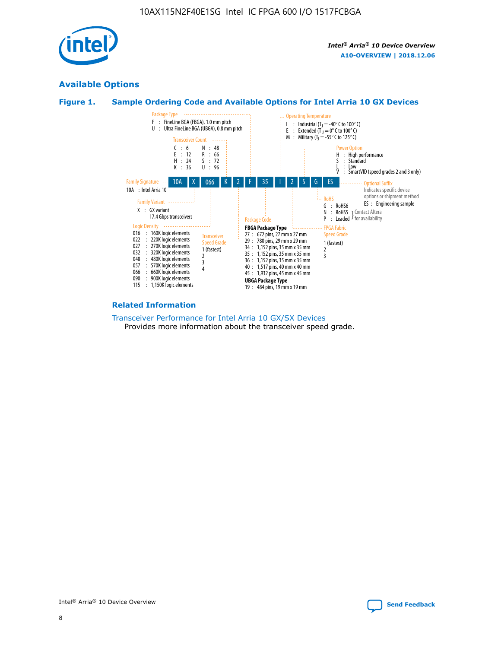

## **Available Options**





#### **Related Information**

[Transceiver Performance for Intel Arria 10 GX/SX Devices](https://www.intel.com/content/www/us/en/programmable/documentation/mcn1413182292568.html#mcn1413213965502) Provides more information about the transceiver speed grade.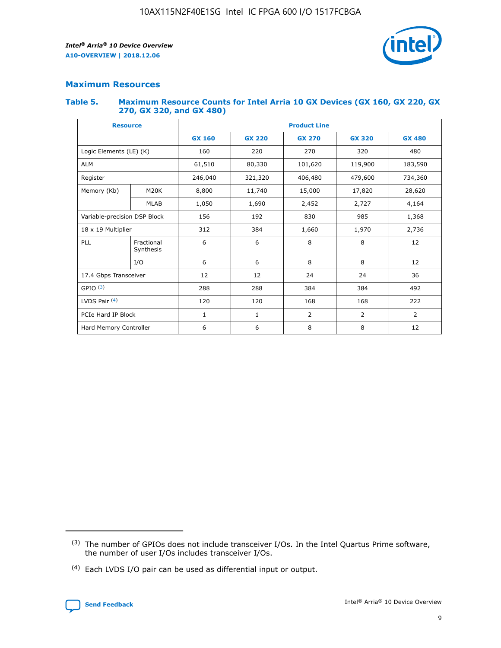

## **Maximum Resources**

#### **Table 5. Maximum Resource Counts for Intel Arria 10 GX Devices (GX 160, GX 220, GX 270, GX 320, and GX 480)**

| <b>Resource</b>              |                         | <b>Product Line</b> |                                                 |                |                |                |  |  |  |
|------------------------------|-------------------------|---------------------|-------------------------------------------------|----------------|----------------|----------------|--|--|--|
|                              |                         | <b>GX 160</b>       | <b>GX 220</b><br><b>GX 270</b><br><b>GX 320</b> |                |                | <b>GX 480</b>  |  |  |  |
| Logic Elements (LE) (K)      |                         | 160                 | 220                                             | 270            | 320            | 480            |  |  |  |
| <b>ALM</b>                   |                         | 61,510              | 80,330                                          | 101,620        | 119,900        | 183,590        |  |  |  |
| Register                     |                         | 246,040             | 406,480<br>321,320                              |                | 479,600        | 734,360        |  |  |  |
| Memory (Kb)                  | M <sub>20</sub> K       | 8,800               | 11,740                                          | 15,000         | 17,820         | 28,620         |  |  |  |
|                              | <b>MLAB</b>             | 1,050               | 1,690                                           | 2,452          | 2,727          | 4,164          |  |  |  |
| Variable-precision DSP Block |                         | 156                 | 192                                             | 830            | 985            | 1,368          |  |  |  |
| 18 x 19 Multiplier           |                         | 312                 | 384                                             | 1,970<br>1,660 |                | 2,736          |  |  |  |
| PLL                          | Fractional<br>Synthesis | 6                   | 6                                               | 8              | 8              | 12             |  |  |  |
|                              | I/O                     | 6                   | 6                                               | 8              | 8              | 12             |  |  |  |
| 17.4 Gbps Transceiver        |                         | 12                  | 12                                              | 24             | 24             | 36             |  |  |  |
| GPIO <sup>(3)</sup>          |                         | 288                 | 288                                             | 384            | 384            |                |  |  |  |
| LVDS Pair $(4)$              |                         | 120                 | 120                                             | 168            | 168            | 222            |  |  |  |
| PCIe Hard IP Block           |                         | 1                   | 1                                               | 2              | $\overline{2}$ | $\overline{2}$ |  |  |  |
| Hard Memory Controller       |                         | 6                   | 6                                               | 8<br>8         |                | 12             |  |  |  |

<sup>(4)</sup> Each LVDS I/O pair can be used as differential input or output.



<sup>(3)</sup> The number of GPIOs does not include transceiver I/Os. In the Intel Quartus Prime software, the number of user I/Os includes transceiver I/Os.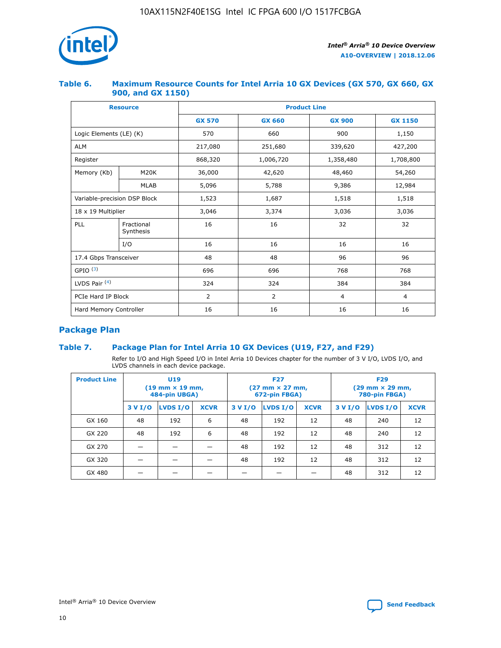

## **Table 6. Maximum Resource Counts for Intel Arria 10 GX Devices (GX 570, GX 660, GX 900, and GX 1150)**

|                              | <b>Resource</b>         | <b>Product Line</b> |                |                |                |  |  |  |
|------------------------------|-------------------------|---------------------|----------------|----------------|----------------|--|--|--|
|                              |                         | <b>GX 570</b>       | <b>GX 660</b>  | <b>GX 900</b>  | <b>GX 1150</b> |  |  |  |
| Logic Elements (LE) (K)      |                         | 570                 | 660            | 900            | 1,150          |  |  |  |
| <b>ALM</b>                   |                         | 217,080             | 251,680        | 339,620        | 427,200        |  |  |  |
| Register                     |                         | 868,320             | 1,006,720      | 1,358,480      | 1,708,800      |  |  |  |
| Memory (Kb)                  | <b>M20K</b>             | 36,000              | 42,620         | 48,460         | 54,260         |  |  |  |
|                              | <b>MLAB</b>             | 5,096               | 5,788          | 9,386          | 12,984         |  |  |  |
| Variable-precision DSP Block |                         | 1,523               | 1,687          | 1,518          | 1,518          |  |  |  |
| 18 x 19 Multiplier           |                         | 3,046               | 3,374          | 3,036          | 3,036          |  |  |  |
| PLL                          | Fractional<br>Synthesis | 16                  | 16             | 32             | 32             |  |  |  |
|                              | I/O                     | 16                  | 16             | 16             | 16             |  |  |  |
| 17.4 Gbps Transceiver        |                         | 48                  | 48             |                | 96             |  |  |  |
| GPIO <sup>(3)</sup>          |                         | 696                 | 696            | 768            | 768            |  |  |  |
| LVDS Pair $(4)$              |                         | 324                 | 324            | 384            | 384            |  |  |  |
| PCIe Hard IP Block           |                         | 2                   | $\overline{2}$ | $\overline{4}$ | $\overline{4}$ |  |  |  |
| Hard Memory Controller       |                         | 16                  | 16             | 16             | 16             |  |  |  |

## **Package Plan**

## **Table 7. Package Plan for Intel Arria 10 GX Devices (U19, F27, and F29)**

Refer to I/O and High Speed I/O in Intel Arria 10 Devices chapter for the number of 3 V I/O, LVDS I/O, and LVDS channels in each device package.

| <b>Product Line</b> | U <sub>19</sub><br>$(19 \text{ mm} \times 19 \text{ mm})$<br>484-pin UBGA) |          |             |         | <b>F27</b><br>(27 mm × 27 mm,<br>672-pin FBGA) |             | <b>F29</b><br>(29 mm × 29 mm,<br>780-pin FBGA) |          |             |  |
|---------------------|----------------------------------------------------------------------------|----------|-------------|---------|------------------------------------------------|-------------|------------------------------------------------|----------|-------------|--|
|                     | 3 V I/O                                                                    | LVDS I/O | <b>XCVR</b> | 3 V I/O | <b>LVDS I/O</b>                                | <b>XCVR</b> | 3 V I/O                                        | LVDS I/O | <b>XCVR</b> |  |
| GX 160              | 48                                                                         | 192      | 6           | 48      | 192                                            | 12          | 48                                             | 240      | 12          |  |
| GX 220              | 48                                                                         | 192      | 6           | 48      | 192                                            | 12          | 48                                             | 240      | 12          |  |
| GX 270              |                                                                            |          |             | 48      | 192                                            | 12          | 48                                             | 312      | 12          |  |
| GX 320              |                                                                            |          |             | 48      | 192                                            | 12          | 48                                             | 312      | 12          |  |
| GX 480              |                                                                            |          |             |         |                                                |             | 48                                             | 312      | 12          |  |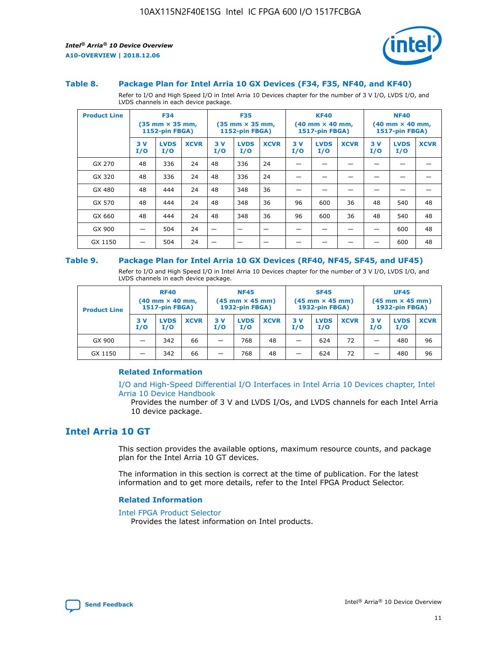

#### **Table 8. Package Plan for Intel Arria 10 GX Devices (F34, F35, NF40, and KF40)**

Refer to I/O and High Speed I/O in Intel Arria 10 Devices chapter for the number of 3 V I/O, LVDS I/O, and LVDS channels in each device package.

| <b>Product Line</b> | <b>F34</b><br>$(35 \text{ mm} \times 35 \text{ mm})$<br>1152-pin FBGA) |                    | <b>F35</b><br>$(35 \text{ mm} \times 35 \text{ mm})$<br><b>1152-pin FBGA)</b> |           | <b>KF40</b><br>$(40$ mm $\times$ 40 mm,<br>1517-pin FBGA) |             |           | <b>NF40</b><br>$(40$ mm $\times$ 40 mm,<br><b>1517-pin FBGA)</b> |             |            |                    |             |
|---------------------|------------------------------------------------------------------------|--------------------|-------------------------------------------------------------------------------|-----------|-----------------------------------------------------------|-------------|-----------|------------------------------------------------------------------|-------------|------------|--------------------|-------------|
|                     | 3V<br>I/O                                                              | <b>LVDS</b><br>I/O | <b>XCVR</b>                                                                   | 3V<br>I/O | <b>LVDS</b><br>I/O                                        | <b>XCVR</b> | 3V<br>I/O | <b>LVDS</b><br>I/O                                               | <b>XCVR</b> | 3 V<br>I/O | <b>LVDS</b><br>I/O | <b>XCVR</b> |
| GX 270              | 48                                                                     | 336                | 24                                                                            | 48        | 336                                                       | 24          |           |                                                                  |             |            |                    |             |
| GX 320              | 48                                                                     | 336                | 24                                                                            | 48        | 336                                                       | 24          |           |                                                                  |             |            |                    |             |
| GX 480              | 48                                                                     | 444                | 24                                                                            | 48        | 348                                                       | 36          |           |                                                                  |             |            |                    |             |
| GX 570              | 48                                                                     | 444                | 24                                                                            | 48        | 348                                                       | 36          | 96        | 600                                                              | 36          | 48         | 540                | 48          |
| GX 660              | 48                                                                     | 444                | 24                                                                            | 48        | 348                                                       | 36          | 96        | 600                                                              | 36          | 48         | 540                | 48          |
| GX 900              |                                                                        | 504                | 24                                                                            | -         |                                                           |             |           |                                                                  |             |            | 600                | 48          |
| GX 1150             |                                                                        | 504                | 24                                                                            |           |                                                           |             |           |                                                                  |             |            | 600                | 48          |

#### **Table 9. Package Plan for Intel Arria 10 GX Devices (RF40, NF45, SF45, and UF45)**

Refer to I/O and High Speed I/O in Intel Arria 10 Devices chapter for the number of 3 V I/O, LVDS I/O, and LVDS channels in each device package.

| <b>Product Line</b> | <b>RF40</b><br>$(40$ mm $\times$ 40 mm,<br>1517-pin FBGA) |                    | <b>NF45</b><br>$(45 \text{ mm} \times 45 \text{ mm})$<br><b>1932-pin FBGA)</b> |            |                    | <b>SF45</b><br>$(45 \text{ mm} \times 45 \text{ mm})$<br><b>1932-pin FBGA)</b> |            |                    | <b>UF45</b><br>$(45 \text{ mm} \times 45 \text{ mm})$<br><b>1932-pin FBGA)</b> |           |                    |             |
|---------------------|-----------------------------------------------------------|--------------------|--------------------------------------------------------------------------------|------------|--------------------|--------------------------------------------------------------------------------|------------|--------------------|--------------------------------------------------------------------------------|-----------|--------------------|-------------|
|                     | 3V<br>I/O                                                 | <b>LVDS</b><br>I/O | <b>XCVR</b>                                                                    | 3 V<br>I/O | <b>LVDS</b><br>I/O | <b>XCVR</b>                                                                    | 3 V<br>I/O | <b>LVDS</b><br>I/O | <b>XCVR</b>                                                                    | 3V<br>I/O | <b>LVDS</b><br>I/O | <b>XCVR</b> |
| GX 900              |                                                           | 342                | 66                                                                             | _          | 768                | 48                                                                             |            | 624                | 72                                                                             |           | 480                | 96          |
| GX 1150             |                                                           | 342                | 66                                                                             | _          | 768                | 48                                                                             |            | 624                | 72                                                                             |           | 480                | 96          |

### **Related Information**

[I/O and High-Speed Differential I/O Interfaces in Intel Arria 10 Devices chapter, Intel](https://www.intel.com/content/www/us/en/programmable/documentation/sam1403482614086.html#sam1403482030321) [Arria 10 Device Handbook](https://www.intel.com/content/www/us/en/programmable/documentation/sam1403482614086.html#sam1403482030321)

Provides the number of 3 V and LVDS I/Os, and LVDS channels for each Intel Arria 10 device package.

## **Intel Arria 10 GT**

This section provides the available options, maximum resource counts, and package plan for the Intel Arria 10 GT devices.

The information in this section is correct at the time of publication. For the latest information and to get more details, refer to the Intel FPGA Product Selector.

#### **Related Information**

#### [Intel FPGA Product Selector](http://www.altera.com/products/selector/psg-selector.html)

Provides the latest information on Intel products.

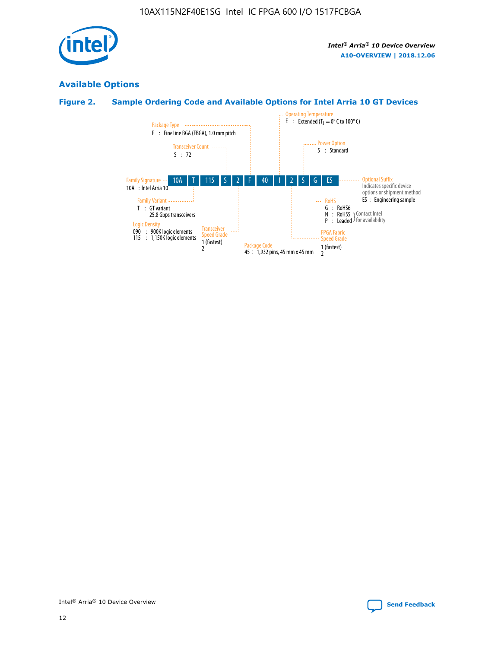

## **Available Options**

## **Figure 2. Sample Ordering Code and Available Options for Intel Arria 10 GT Devices**

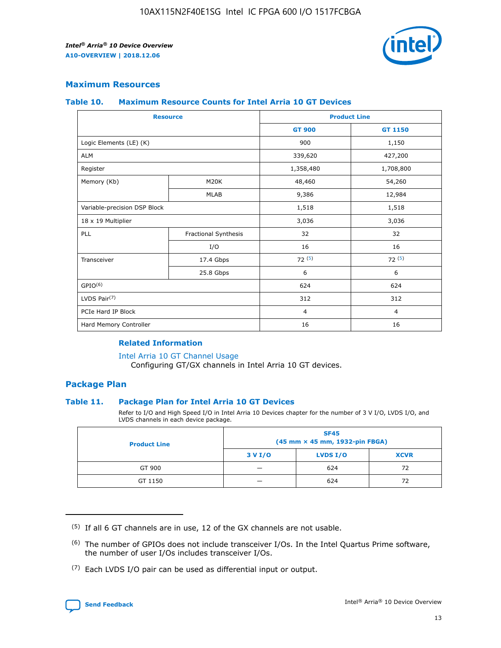

## **Maximum Resources**

#### **Table 10. Maximum Resource Counts for Intel Arria 10 GT Devices**

| <b>Resource</b>              |                      |                | <b>Product Line</b> |  |
|------------------------------|----------------------|----------------|---------------------|--|
|                              |                      | <b>GT 900</b>  | GT 1150             |  |
| Logic Elements (LE) (K)      |                      | 900            | 1,150               |  |
| <b>ALM</b>                   |                      | 339,620        | 427,200             |  |
| Register                     |                      | 1,358,480      | 1,708,800           |  |
| Memory (Kb)                  | M <sub>20</sub> K    | 48,460         | 54,260              |  |
|                              | <b>MLAB</b>          | 9,386          | 12,984              |  |
| Variable-precision DSP Block |                      | 1,518          | 1,518               |  |
| 18 x 19 Multiplier           |                      | 3,036          | 3,036               |  |
| PLL                          | Fractional Synthesis | 32             | 32                  |  |
|                              | I/O                  | 16             | 16                  |  |
| Transceiver                  | 17.4 Gbps            | 72(5)          | 72(5)               |  |
|                              | 25.8 Gbps            | 6              | 6                   |  |
| GPIO <sup>(6)</sup>          |                      | 624            | 624                 |  |
| LVDS Pair $(7)$              |                      | 312            | 312                 |  |
| PCIe Hard IP Block           |                      | $\overline{4}$ | $\overline{4}$      |  |
| Hard Memory Controller       |                      | 16             | 16                  |  |

#### **Related Information**

#### [Intel Arria 10 GT Channel Usage](https://www.intel.com/content/www/us/en/programmable/documentation/nik1398707230472.html#nik1398707008178)

Configuring GT/GX channels in Intel Arria 10 GT devices.

## **Package Plan**

### **Table 11. Package Plan for Intel Arria 10 GT Devices**

Refer to I/O and High Speed I/O in Intel Arria 10 Devices chapter for the number of 3 V I/O, LVDS I/O, and LVDS channels in each device package.

| <b>Product Line</b> | <b>SF45</b><br>(45 mm × 45 mm, 1932-pin FBGA) |                 |             |  |  |  |
|---------------------|-----------------------------------------------|-----------------|-------------|--|--|--|
|                     | 3 V I/O                                       | <b>LVDS I/O</b> | <b>XCVR</b> |  |  |  |
| GT 900              |                                               | 624             | 72          |  |  |  |
| GT 1150             |                                               | 624             |             |  |  |  |

<sup>(7)</sup> Each LVDS I/O pair can be used as differential input or output.



 $(5)$  If all 6 GT channels are in use, 12 of the GX channels are not usable.

<sup>(6)</sup> The number of GPIOs does not include transceiver I/Os. In the Intel Quartus Prime software, the number of user I/Os includes transceiver I/Os.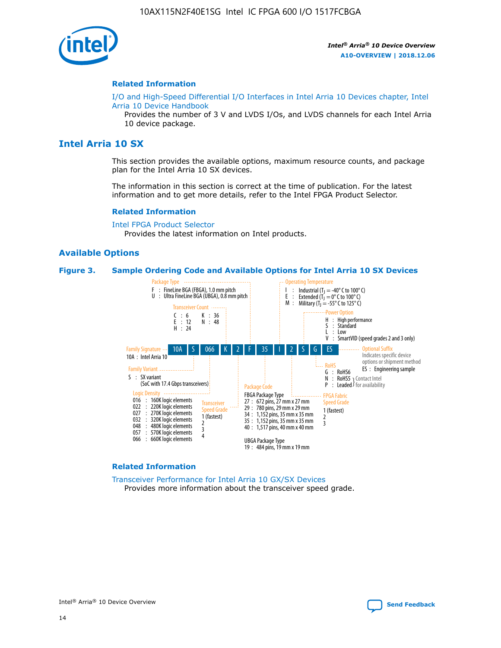

#### **Related Information**

[I/O and High-Speed Differential I/O Interfaces in Intel Arria 10 Devices chapter, Intel](https://www.intel.com/content/www/us/en/programmable/documentation/sam1403482614086.html#sam1403482030321) [Arria 10 Device Handbook](https://www.intel.com/content/www/us/en/programmable/documentation/sam1403482614086.html#sam1403482030321)

Provides the number of 3 V and LVDS I/Os, and LVDS channels for each Intel Arria 10 device package.

## **Intel Arria 10 SX**

This section provides the available options, maximum resource counts, and package plan for the Intel Arria 10 SX devices.

The information in this section is correct at the time of publication. For the latest information and to get more details, refer to the Intel FPGA Product Selector.

#### **Related Information**

[Intel FPGA Product Selector](http://www.altera.com/products/selector/psg-selector.html) Provides the latest information on Intel products.

### **Available Options**

#### **Figure 3. Sample Ordering Code and Available Options for Intel Arria 10 SX Devices**



#### **Related Information**

[Transceiver Performance for Intel Arria 10 GX/SX Devices](https://www.intel.com/content/www/us/en/programmable/documentation/mcn1413182292568.html#mcn1413213965502) Provides more information about the transceiver speed grade.

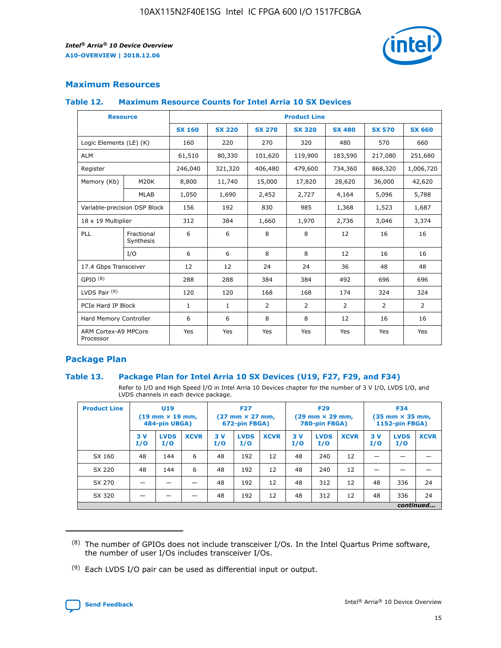

## **Maximum Resources**

### **Table 12. Maximum Resource Counts for Intel Arria 10 SX Devices**

| <b>Resource</b>                   |                         | <b>Product Line</b> |               |                |                |                |                |                |  |  |  |
|-----------------------------------|-------------------------|---------------------|---------------|----------------|----------------|----------------|----------------|----------------|--|--|--|
|                                   |                         | <b>SX 160</b>       | <b>SX 220</b> | <b>SX 270</b>  | <b>SX 320</b>  | <b>SX 480</b>  | <b>SX 570</b>  | <b>SX 660</b>  |  |  |  |
| Logic Elements (LE) (K)           |                         | 160                 | 220           | 270            | 320            | 480            | 570            | 660            |  |  |  |
| <b>ALM</b>                        |                         | 61,510              | 80,330        | 101,620        | 119,900        | 183,590        | 217,080        | 251,680        |  |  |  |
| Register                          |                         | 246,040             | 321,320       | 406,480        | 479,600        | 734,360        | 868,320        | 1,006,720      |  |  |  |
| Memory (Kb)                       | <b>M20K</b>             | 8,800               | 11,740        | 15,000         | 17,820         | 28,620         | 36,000         | 42,620         |  |  |  |
|                                   | <b>MLAB</b>             | 1,050               | 1,690         | 2,452          | 2,727          | 4,164          | 5,096          | 5,788          |  |  |  |
| Variable-precision DSP Block      |                         | 156                 | 192           | 830            | 985            | 1,368          | 1,523          | 1,687          |  |  |  |
| 18 x 19 Multiplier                |                         | 312                 | 384           | 1,660          | 1,970          | 2,736          | 3,046          | 3,374          |  |  |  |
| PLL                               | Fractional<br>Synthesis | 6                   | 6             | 8              | 8              | 12             | 16             | 16             |  |  |  |
|                                   | I/O                     | 6                   | 6             | 8              | 8              | 12             | 16             | 16             |  |  |  |
| 17.4 Gbps Transceiver             |                         | 12                  | 12            | 24             | 24             | 36             | 48             | 48             |  |  |  |
| GPIO <sup>(8)</sup>               |                         | 288                 | 288           | 384            | 384            | 492            | 696            | 696            |  |  |  |
| LVDS Pair $(9)$                   |                         | 120                 | 120           | 168            | 168            | 174            | 324            | 324            |  |  |  |
| PCIe Hard IP Block                |                         | $\mathbf{1}$        | $\mathbf{1}$  | $\overline{2}$ | $\overline{2}$ | $\overline{2}$ | $\overline{2}$ | $\overline{2}$ |  |  |  |
| Hard Memory Controller            |                         | 6                   | 6             | 8              | 8              | 12             | 16             | 16             |  |  |  |
| ARM Cortex-A9 MPCore<br>Processor |                         | Yes                 | Yes           | Yes            | Yes            | Yes            | Yes            | <b>Yes</b>     |  |  |  |

## **Package Plan**

### **Table 13. Package Plan for Intel Arria 10 SX Devices (U19, F27, F29, and F34)**

Refer to I/O and High Speed I/O in Intel Arria 10 Devices chapter for the number of 3 V I/O, LVDS I/O, and LVDS channels in each device package.

| <b>Product Line</b> | U <sub>19</sub><br>$(19 \text{ mm} \times 19 \text{ mm})$<br>484-pin UBGA) |                    | <b>F27</b><br>$(27 \text{ mm} \times 27 \text{ mm})$<br>672-pin FBGA) |           | <b>F29</b><br>$(29 \text{ mm} \times 29 \text{ mm})$<br>780-pin FBGA) |             |            | <b>F34</b><br>$(35 \text{ mm} \times 35 \text{ mm})$<br><b>1152-pin FBGA)</b> |             |           |                    |             |
|---------------------|----------------------------------------------------------------------------|--------------------|-----------------------------------------------------------------------|-----------|-----------------------------------------------------------------------|-------------|------------|-------------------------------------------------------------------------------|-------------|-----------|--------------------|-------------|
|                     | 3V<br>I/O                                                                  | <b>LVDS</b><br>I/O | <b>XCVR</b>                                                           | 3V<br>I/O | <b>LVDS</b><br>I/O                                                    | <b>XCVR</b> | 3 V<br>I/O | <b>LVDS</b><br>I/O                                                            | <b>XCVR</b> | 3V<br>I/O | <b>LVDS</b><br>I/O | <b>XCVR</b> |
| SX 160              | 48                                                                         | 144                | 6                                                                     | 48        | 192                                                                   | 12          | 48         | 240                                                                           | 12          | –         |                    |             |
| SX 220              | 48                                                                         | 144                | 6                                                                     | 48        | 192                                                                   | 12          | 48         | 240                                                                           | 12          |           |                    |             |
| SX 270              |                                                                            |                    |                                                                       | 48        | 192                                                                   | 12          | 48         | 312                                                                           | 12          | 48        | 336                | 24          |
| SX 320              |                                                                            |                    |                                                                       | 48        | 192                                                                   | 12          | 48         | 312                                                                           | 12          | 48        | 336                | 24          |
|                     | continued                                                                  |                    |                                                                       |           |                                                                       |             |            |                                                                               |             |           |                    |             |

 $(8)$  The number of GPIOs does not include transceiver I/Os. In the Intel Quartus Prime software, the number of user I/Os includes transceiver I/Os.

 $(9)$  Each LVDS I/O pair can be used as differential input or output.

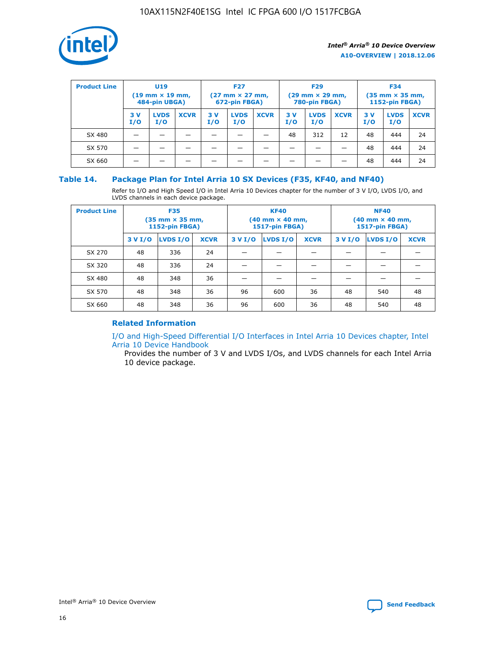

| <b>Product Line</b> | U <sub>19</sub><br>$(19 \text{ mm} \times 19 \text{ mm})$<br>484-pin UBGA) |                    | <b>F27</b><br>$(27 \text{ mm} \times 27 \text{ mm})$<br>672-pin FBGA) |           |                    | <b>F29</b><br>$(29$ mm $\times$ 29 mm,<br>780-pin FBGA) |           |                    | <b>F34</b><br>$(35$ mm $\times$ 35 mm,<br><b>1152-pin FBGA)</b> |           |                    |             |
|---------------------|----------------------------------------------------------------------------|--------------------|-----------------------------------------------------------------------|-----------|--------------------|---------------------------------------------------------|-----------|--------------------|-----------------------------------------------------------------|-----------|--------------------|-------------|
|                     | 3 V<br>I/O                                                                 | <b>LVDS</b><br>I/O | <b>XCVR</b>                                                           | 3V<br>I/O | <b>LVDS</b><br>I/O | <b>XCVR</b>                                             | 3V<br>I/O | <b>LVDS</b><br>I/O | <b>XCVR</b>                                                     | 3V<br>I/O | <b>LVDS</b><br>I/O | <b>XCVR</b> |
| SX 480              |                                                                            |                    |                                                                       |           |                    |                                                         | 48        | 312                | 12                                                              | 48        | 444                | 24          |
| SX 570              |                                                                            |                    |                                                                       |           |                    |                                                         |           |                    |                                                                 | 48        | 444                | 24          |
| SX 660              |                                                                            |                    |                                                                       |           |                    |                                                         |           |                    |                                                                 | 48        | 444                | 24          |

## **Table 14. Package Plan for Intel Arria 10 SX Devices (F35, KF40, and NF40)**

Refer to I/O and High Speed I/O in Intel Arria 10 Devices chapter for the number of 3 V I/O, LVDS I/O, and LVDS channels in each device package.

| <b>Product Line</b> | <b>F35</b><br>(35 mm × 35 mm,<br><b>1152-pin FBGA)</b> |          |             |                                           | <b>KF40</b><br>(40 mm × 40 mm,<br>1517-pin FBGA) |    | <b>NF40</b><br>$(40 \text{ mm} \times 40 \text{ mm})$<br>1517-pin FBGA) |          |             |  |
|---------------------|--------------------------------------------------------|----------|-------------|-------------------------------------------|--------------------------------------------------|----|-------------------------------------------------------------------------|----------|-------------|--|
|                     | 3 V I/O                                                | LVDS I/O | <b>XCVR</b> | <b>LVDS I/O</b><br>3 V I/O<br><b>XCVR</b> |                                                  |    | 3 V I/O                                                                 | LVDS I/O | <b>XCVR</b> |  |
| SX 270              | 48                                                     | 336      | 24          |                                           |                                                  |    |                                                                         |          |             |  |
| SX 320              | 48                                                     | 336      | 24          |                                           |                                                  |    |                                                                         |          |             |  |
| SX 480              | 48                                                     | 348      | 36          |                                           |                                                  |    |                                                                         |          |             |  |
| SX 570              | 48                                                     | 348      | 36          | 96                                        | 600                                              | 36 | 48                                                                      | 540      | 48          |  |
| SX 660              | 48                                                     | 348      | 36          | 96                                        | 600                                              | 36 | 48                                                                      | 540      | 48          |  |

## **Related Information**

[I/O and High-Speed Differential I/O Interfaces in Intel Arria 10 Devices chapter, Intel](https://www.intel.com/content/www/us/en/programmable/documentation/sam1403482614086.html#sam1403482030321) [Arria 10 Device Handbook](https://www.intel.com/content/www/us/en/programmable/documentation/sam1403482614086.html#sam1403482030321)

Provides the number of 3 V and LVDS I/Os, and LVDS channels for each Intel Arria 10 device package.

Intel<sup>®</sup> Arria<sup>®</sup> 10 Device Overview **[Send Feedback](mailto:FPGAtechdocfeedback@intel.com?subject=Feedback%20on%20Intel%20Arria%2010%20Device%20Overview%20(A10-OVERVIEW%202018.12.06)&body=We%20appreciate%20your%20feedback.%20In%20your%20comments,%20also%20specify%20the%20page%20number%20or%20paragraph.%20Thank%20you.)** Send Feedback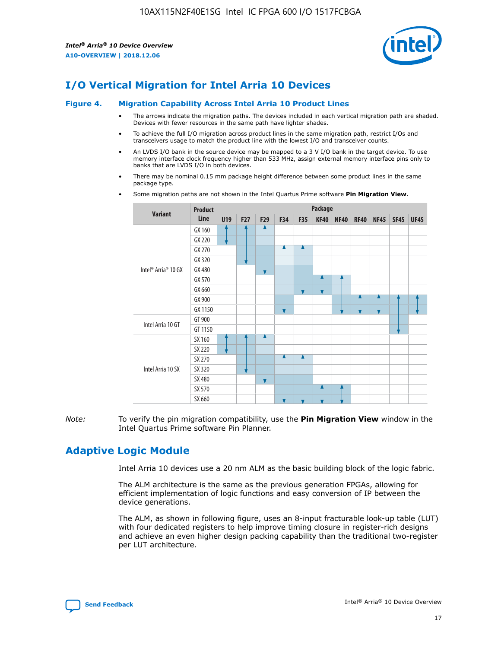

# **I/O Vertical Migration for Intel Arria 10 Devices**

#### **Figure 4. Migration Capability Across Intel Arria 10 Product Lines**

- The arrows indicate the migration paths. The devices included in each vertical migration path are shaded. Devices with fewer resources in the same path have lighter shades.
- To achieve the full I/O migration across product lines in the same migration path, restrict I/Os and transceivers usage to match the product line with the lowest I/O and transceiver counts.
- An LVDS I/O bank in the source device may be mapped to a 3 V I/O bank in the target device. To use memory interface clock frequency higher than 533 MHz, assign external memory interface pins only to banks that are LVDS I/O in both devices.
- There may be nominal 0.15 mm package height difference between some product lines in the same package type.
	- **Variant Product Line Package U19 F27 F29 F34 F35 KF40 NF40 RF40 NF45 SF45 UF45** Intel® Arria® 10 GX GX 160 GX 220 GX 270 GX 320 GX 480 GX 570 GX 660 GX 900 GX 1150 Intel Arria 10 GT GT 900 GT 1150 Intel Arria 10 SX SX 160 SX 220 SX 270 SX 320 SX 480 SX 570 SX 660
- Some migration paths are not shown in the Intel Quartus Prime software **Pin Migration View**.

*Note:* To verify the pin migration compatibility, use the **Pin Migration View** window in the Intel Quartus Prime software Pin Planner.

# **Adaptive Logic Module**

Intel Arria 10 devices use a 20 nm ALM as the basic building block of the logic fabric.

The ALM architecture is the same as the previous generation FPGAs, allowing for efficient implementation of logic functions and easy conversion of IP between the device generations.

The ALM, as shown in following figure, uses an 8-input fracturable look-up table (LUT) with four dedicated registers to help improve timing closure in register-rich designs and achieve an even higher design packing capability than the traditional two-register per LUT architecture.

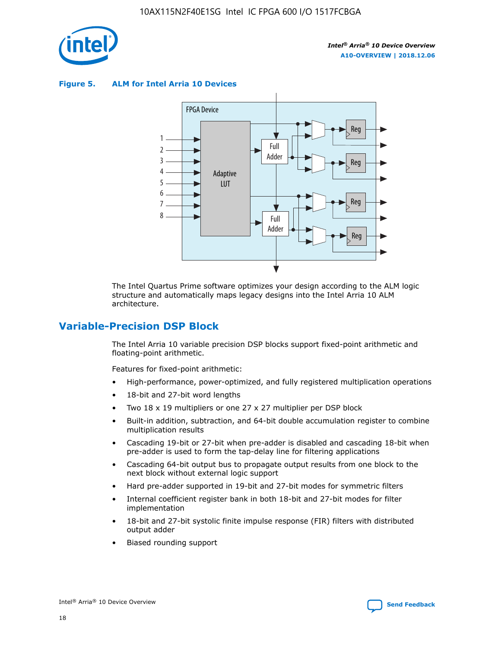

**Figure 5. ALM for Intel Arria 10 Devices**



The Intel Quartus Prime software optimizes your design according to the ALM logic structure and automatically maps legacy designs into the Intel Arria 10 ALM architecture.

## **Variable-Precision DSP Block**

The Intel Arria 10 variable precision DSP blocks support fixed-point arithmetic and floating-point arithmetic.

Features for fixed-point arithmetic:

- High-performance, power-optimized, and fully registered multiplication operations
- 18-bit and 27-bit word lengths
- Two 18 x 19 multipliers or one 27 x 27 multiplier per DSP block
- Built-in addition, subtraction, and 64-bit double accumulation register to combine multiplication results
- Cascading 19-bit or 27-bit when pre-adder is disabled and cascading 18-bit when pre-adder is used to form the tap-delay line for filtering applications
- Cascading 64-bit output bus to propagate output results from one block to the next block without external logic support
- Hard pre-adder supported in 19-bit and 27-bit modes for symmetric filters
- Internal coefficient register bank in both 18-bit and 27-bit modes for filter implementation
- 18-bit and 27-bit systolic finite impulse response (FIR) filters with distributed output adder
- Biased rounding support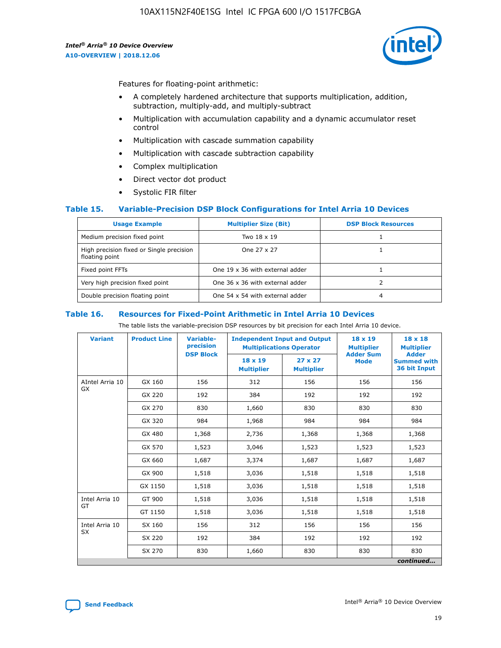

Features for floating-point arithmetic:

- A completely hardened architecture that supports multiplication, addition, subtraction, multiply-add, and multiply-subtract
- Multiplication with accumulation capability and a dynamic accumulator reset control
- Multiplication with cascade summation capability
- Multiplication with cascade subtraction capability
- Complex multiplication
- Direct vector dot product
- Systolic FIR filter

### **Table 15. Variable-Precision DSP Block Configurations for Intel Arria 10 Devices**

| <b>Usage Example</b>                                       | <b>Multiplier Size (Bit)</b>    | <b>DSP Block Resources</b> |
|------------------------------------------------------------|---------------------------------|----------------------------|
| Medium precision fixed point                               | Two 18 x 19                     |                            |
| High precision fixed or Single precision<br>floating point | One 27 x 27                     |                            |
| Fixed point FFTs                                           | One 19 x 36 with external adder |                            |
| Very high precision fixed point                            | One 36 x 36 with external adder |                            |
| Double precision floating point                            | One 54 x 54 with external adder | 4                          |

#### **Table 16. Resources for Fixed-Point Arithmetic in Intel Arria 10 Devices**

The table lists the variable-precision DSP resources by bit precision for each Intel Arria 10 device.

| <b>Variant</b>  | <b>Product Line</b> | <b>Variable-</b><br>precision<br><b>DSP Block</b> | <b>Independent Input and Output</b><br><b>Multiplications Operator</b> |                                     | 18 x 19<br><b>Multiplier</b><br><b>Adder Sum</b> | $18 \times 18$<br><b>Multiplier</b><br><b>Adder</b> |
|-----------------|---------------------|---------------------------------------------------|------------------------------------------------------------------------|-------------------------------------|--------------------------------------------------|-----------------------------------------------------|
|                 |                     |                                                   | 18 x 19<br><b>Multiplier</b>                                           | $27 \times 27$<br><b>Multiplier</b> | <b>Mode</b>                                      | <b>Summed with</b><br>36 bit Input                  |
| AIntel Arria 10 | GX 160              | 156                                               | 312                                                                    | 156                                 | 156                                              | 156                                                 |
| GX              | GX 220              | 192                                               | 384                                                                    | 192                                 | 192                                              | 192                                                 |
|                 | GX 270              | 830                                               | 1,660                                                                  | 830                                 | 830                                              | 830                                                 |
|                 | GX 320              | 984                                               | 1,968                                                                  | 984                                 | 984                                              | 984                                                 |
|                 | GX 480              | 1,368                                             | 2,736                                                                  | 1,368                               | 1,368                                            | 1,368                                               |
|                 | GX 570              | 1,523                                             | 3,046                                                                  | 1,523                               | 1,523                                            | 1,523                                               |
|                 | GX 660              | 1,687                                             | 3,374                                                                  | 1,687                               | 1,687                                            | 1,687                                               |
|                 | GX 900              | 1,518                                             | 3,036                                                                  | 1,518                               | 1,518                                            | 1,518                                               |
|                 | GX 1150             | 1,518                                             | 3,036                                                                  | 1,518                               | 1,518                                            | 1,518                                               |
| Intel Arria 10  | GT 900              | 1,518                                             | 3,036                                                                  | 1,518                               | 1,518                                            | 1,518                                               |
| GT              | GT 1150             | 1,518                                             | 3,036                                                                  | 1,518                               | 1,518                                            | 1,518                                               |
| Intel Arria 10  | SX 160              | 156                                               | 312                                                                    | 156                                 | 156                                              | 156                                                 |
| <b>SX</b>       | SX 220              | 192                                               | 384                                                                    | 192                                 | 192                                              | 192                                                 |
|                 | SX 270              | 830                                               | 1,660                                                                  | 830                                 | 830                                              | 830                                                 |
|                 |                     |                                                   |                                                                        |                                     |                                                  | continued                                           |

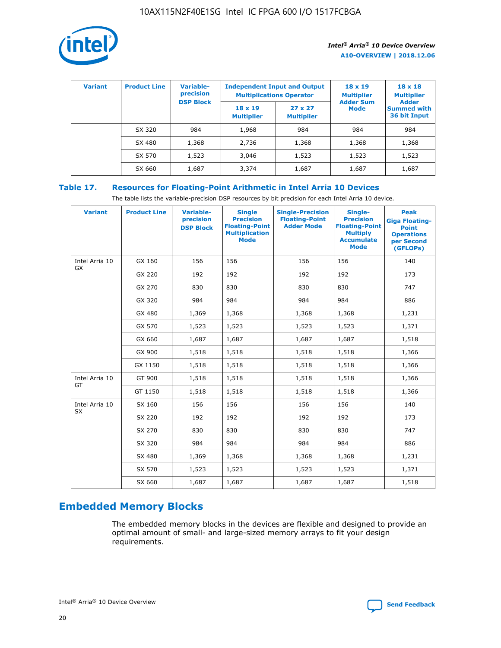

| <b>Variant</b> | <b>Product Line</b> | Variable-<br>precision | <b>Independent Input and Output</b><br><b>Multiplications Operator</b> |                                     | $18 \times 19$<br><b>Multiplier</b> | $18 \times 18$<br><b>Multiplier</b><br><b>Adder</b> |  |
|----------------|---------------------|------------------------|------------------------------------------------------------------------|-------------------------------------|-------------------------------------|-----------------------------------------------------|--|
|                |                     | <b>DSP Block</b>       | $18 \times 19$<br><b>Multiplier</b>                                    | $27 \times 27$<br><b>Multiplier</b> | <b>Adder Sum</b><br><b>Mode</b>     | <b>Summed with</b><br>36 bit Input                  |  |
|                | SX 320              | 984                    | 1,968                                                                  | 984                                 | 984                                 | 984                                                 |  |
|                | SX 480              | 1,368                  | 2,736                                                                  | 1,368                               | 1,368                               | 1,368                                               |  |
|                | SX 570              | 1,523                  | 3,046                                                                  | 1,523                               | 1,523                               | 1,523                                               |  |
|                | SX 660              | 1,687                  | 3,374                                                                  | 1,687                               | 1,687                               | 1,687                                               |  |

## **Table 17. Resources for Floating-Point Arithmetic in Intel Arria 10 Devices**

The table lists the variable-precision DSP resources by bit precision for each Intel Arria 10 device.

| <b>Variant</b>              | <b>Product Line</b> | <b>Variable-</b><br>precision<br><b>DSP Block</b> | <b>Single</b><br><b>Precision</b><br><b>Floating-Point</b><br><b>Multiplication</b><br><b>Mode</b> | <b>Single-Precision</b><br><b>Floating-Point</b><br><b>Adder Mode</b> | Single-<br><b>Precision</b><br><b>Floating-Point</b><br><b>Multiply</b><br><b>Accumulate</b><br><b>Mode</b> | <b>Peak</b><br><b>Giga Floating-</b><br><b>Point</b><br><b>Operations</b><br>per Second<br>(GFLOPs) |
|-----------------------------|---------------------|---------------------------------------------------|----------------------------------------------------------------------------------------------------|-----------------------------------------------------------------------|-------------------------------------------------------------------------------------------------------------|-----------------------------------------------------------------------------------------------------|
| Intel Arria 10<br>GX        | GX 160              | 156                                               | 156                                                                                                | 156                                                                   | 156                                                                                                         | 140                                                                                                 |
|                             | GX 220              | 192                                               | 192                                                                                                | 192                                                                   | 192                                                                                                         | 173                                                                                                 |
|                             | GX 270              | 830                                               | 830                                                                                                | 830                                                                   | 830                                                                                                         | 747                                                                                                 |
|                             | GX 320              | 984                                               | 984                                                                                                | 984                                                                   | 984                                                                                                         | 886                                                                                                 |
|                             | GX 480              | 1,369                                             | 1,368                                                                                              | 1,368                                                                 | 1,368                                                                                                       | 1,231                                                                                               |
|                             | GX 570              | 1,523                                             | 1,523                                                                                              | 1,523                                                                 | 1,523                                                                                                       | 1,371                                                                                               |
|                             | GX 660              | 1,687                                             | 1,687                                                                                              | 1,687                                                                 | 1,687                                                                                                       | 1,518                                                                                               |
|                             | GX 900              | 1,518                                             | 1,518                                                                                              | 1,518                                                                 | 1,518                                                                                                       | 1,366                                                                                               |
|                             | GX 1150             | 1,518                                             | 1,518                                                                                              | 1,518                                                                 | 1,518                                                                                                       | 1,366                                                                                               |
| Intel Arria 10              | GT 900              | 1,518                                             | 1,518                                                                                              | 1,518                                                                 | 1,518                                                                                                       | 1,366                                                                                               |
| GT                          | GT 1150             | 1,518                                             | 1,518                                                                                              | 1,518                                                                 | 1,518                                                                                                       | 1,366                                                                                               |
| Intel Arria 10<br><b>SX</b> | SX 160              | 156                                               | 156                                                                                                | 156                                                                   | 156                                                                                                         | 140                                                                                                 |
|                             | SX 220              | 192                                               | 192                                                                                                | 192                                                                   | 192                                                                                                         | 173                                                                                                 |
|                             | SX 270              | 830                                               | 830                                                                                                | 830                                                                   | 830                                                                                                         | 747                                                                                                 |
|                             | SX 320              | 984                                               | 984                                                                                                | 984                                                                   | 984                                                                                                         | 886                                                                                                 |
|                             | SX 480              | 1,369                                             | 1,368                                                                                              | 1,368                                                                 | 1,368                                                                                                       | 1,231                                                                                               |
|                             | SX 570              | 1,523                                             | 1,523                                                                                              | 1,523                                                                 | 1,523                                                                                                       | 1,371                                                                                               |
|                             | SX 660              | 1,687                                             | 1,687                                                                                              | 1,687                                                                 | 1,687                                                                                                       | 1,518                                                                                               |

# **Embedded Memory Blocks**

The embedded memory blocks in the devices are flexible and designed to provide an optimal amount of small- and large-sized memory arrays to fit your design requirements.

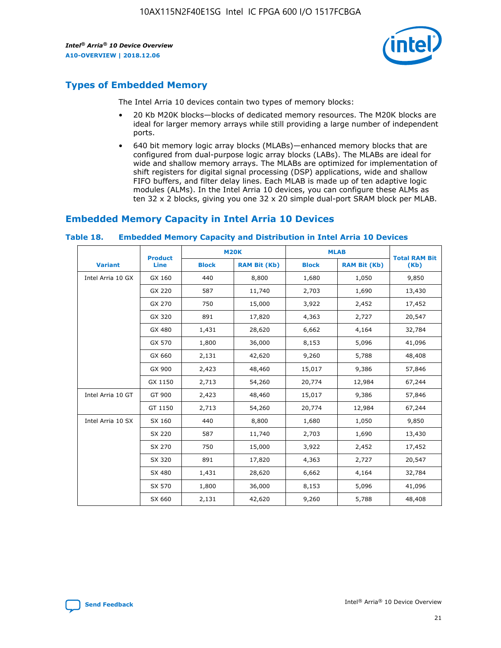

# **Types of Embedded Memory**

The Intel Arria 10 devices contain two types of memory blocks:

- 20 Kb M20K blocks—blocks of dedicated memory resources. The M20K blocks are ideal for larger memory arrays while still providing a large number of independent ports.
- 640 bit memory logic array blocks (MLABs)—enhanced memory blocks that are configured from dual-purpose logic array blocks (LABs). The MLABs are ideal for wide and shallow memory arrays. The MLABs are optimized for implementation of shift registers for digital signal processing (DSP) applications, wide and shallow FIFO buffers, and filter delay lines. Each MLAB is made up of ten adaptive logic modules (ALMs). In the Intel Arria 10 devices, you can configure these ALMs as ten 32 x 2 blocks, giving you one 32 x 20 simple dual-port SRAM block per MLAB.

# **Embedded Memory Capacity in Intel Arria 10 Devices**

|                   | <b>Product</b> | <b>M20K</b>  |                     | <b>MLAB</b>  |                     | <b>Total RAM Bit</b> |
|-------------------|----------------|--------------|---------------------|--------------|---------------------|----------------------|
| <b>Variant</b>    | <b>Line</b>    | <b>Block</b> | <b>RAM Bit (Kb)</b> | <b>Block</b> | <b>RAM Bit (Kb)</b> | (Kb)                 |
| Intel Arria 10 GX | GX 160         | 440          | 8,800               | 1,680        | 1,050               | 9,850                |
|                   | GX 220         | 587          | 11,740              | 2,703        | 1,690               | 13,430               |
|                   | GX 270         | 750          | 15,000              | 3,922        | 2,452               | 17,452               |
|                   | GX 320         | 891          | 17,820              | 4,363        | 2,727               | 20,547               |
|                   | GX 480         | 1,431        | 28,620              | 6,662        | 4,164               | 32,784               |
|                   | GX 570         | 1,800        | 36,000              | 8,153        | 5,096               | 41,096               |
|                   | GX 660         | 2,131        | 42,620              | 9,260        | 5,788               | 48,408               |
|                   | GX 900         | 2,423        | 48,460              | 15,017       | 9,386               | 57,846               |
|                   | GX 1150        | 2,713        | 54,260              | 20,774       | 12,984              | 67,244               |
| Intel Arria 10 GT | GT 900         | 2,423        | 48,460              | 15,017       | 9,386               | 57,846               |
|                   | GT 1150        | 2,713        | 54,260              | 20,774       | 12,984              | 67,244               |
| Intel Arria 10 SX | SX 160         | 440          | 8,800               | 1,680        | 1,050               | 9,850                |
|                   | SX 220         | 587          | 11,740              | 2,703        | 1,690               | 13,430               |
|                   | SX 270         | 750          | 15,000              | 3,922        | 2,452               | 17,452               |
|                   | SX 320         | 891          | 17,820              | 4,363        | 2,727               | 20,547               |
|                   | SX 480         | 1,431        | 28,620              | 6,662        | 4,164               | 32,784               |
|                   | SX 570         | 1,800        | 36,000              | 8,153        | 5,096               | 41,096               |
|                   | SX 660         | 2,131        | 42,620              | 9,260        | 5,788               | 48,408               |

#### **Table 18. Embedded Memory Capacity and Distribution in Intel Arria 10 Devices**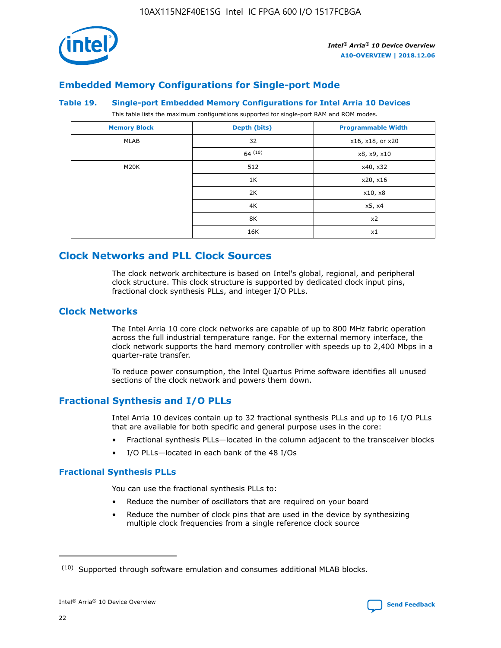

## **Embedded Memory Configurations for Single-port Mode**

#### **Table 19. Single-port Embedded Memory Configurations for Intel Arria 10 Devices**

This table lists the maximum configurations supported for single-port RAM and ROM modes.

| <b>Memory Block</b> | Depth (bits) | <b>Programmable Width</b> |
|---------------------|--------------|---------------------------|
| MLAB                | 32           | x16, x18, or x20          |
|                     | 64(10)       | x8, x9, x10               |
| M20K                | 512          | x40, x32                  |
|                     | 1K           | x20, x16                  |
|                     | 2K           | x10, x8                   |
|                     | 4K           | x5, x4                    |
|                     | 8K           | x2                        |
|                     | 16K          | x1                        |

# **Clock Networks and PLL Clock Sources**

The clock network architecture is based on Intel's global, regional, and peripheral clock structure. This clock structure is supported by dedicated clock input pins, fractional clock synthesis PLLs, and integer I/O PLLs.

## **Clock Networks**

The Intel Arria 10 core clock networks are capable of up to 800 MHz fabric operation across the full industrial temperature range. For the external memory interface, the clock network supports the hard memory controller with speeds up to 2,400 Mbps in a quarter-rate transfer.

To reduce power consumption, the Intel Quartus Prime software identifies all unused sections of the clock network and powers them down.

## **Fractional Synthesis and I/O PLLs**

Intel Arria 10 devices contain up to 32 fractional synthesis PLLs and up to 16 I/O PLLs that are available for both specific and general purpose uses in the core:

- Fractional synthesis PLLs—located in the column adjacent to the transceiver blocks
- I/O PLLs—located in each bank of the 48 I/Os

## **Fractional Synthesis PLLs**

You can use the fractional synthesis PLLs to:

- Reduce the number of oscillators that are required on your board
- Reduce the number of clock pins that are used in the device by synthesizing multiple clock frequencies from a single reference clock source

<sup>(10)</sup> Supported through software emulation and consumes additional MLAB blocks.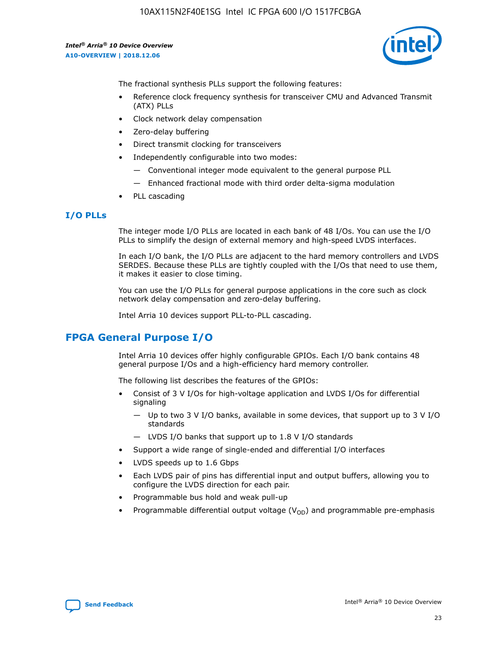10AX115N2F40E1SG Intel IC FPGA 600 I/O 1517FCBGA

*Intel® Arria® 10 Device Overview* **A10-OVERVIEW | 2018.12.06**



The fractional synthesis PLLs support the following features:

- Reference clock frequency synthesis for transceiver CMU and Advanced Transmit (ATX) PLLs
- Clock network delay compensation
- Zero-delay buffering
- Direct transmit clocking for transceivers
- Independently configurable into two modes:
	- Conventional integer mode equivalent to the general purpose PLL
	- Enhanced fractional mode with third order delta-sigma modulation
- PLL cascading

## **I/O PLLs**

The integer mode I/O PLLs are located in each bank of 48 I/Os. You can use the I/O PLLs to simplify the design of external memory and high-speed LVDS interfaces.

In each I/O bank, the I/O PLLs are adjacent to the hard memory controllers and LVDS SERDES. Because these PLLs are tightly coupled with the I/Os that need to use them, it makes it easier to close timing.

You can use the I/O PLLs for general purpose applications in the core such as clock network delay compensation and zero-delay buffering.

Intel Arria 10 devices support PLL-to-PLL cascading.

# **FPGA General Purpose I/O**

Intel Arria 10 devices offer highly configurable GPIOs. Each I/O bank contains 48 general purpose I/Os and a high-efficiency hard memory controller.

The following list describes the features of the GPIOs:

- Consist of 3 V I/Os for high-voltage application and LVDS I/Os for differential signaling
	- Up to two 3 V I/O banks, available in some devices, that support up to 3 V I/O standards
	- LVDS I/O banks that support up to 1.8 V I/O standards
- Support a wide range of single-ended and differential I/O interfaces
- LVDS speeds up to 1.6 Gbps
- Each LVDS pair of pins has differential input and output buffers, allowing you to configure the LVDS direction for each pair.
- Programmable bus hold and weak pull-up
- Programmable differential output voltage  $(V_{OD})$  and programmable pre-emphasis

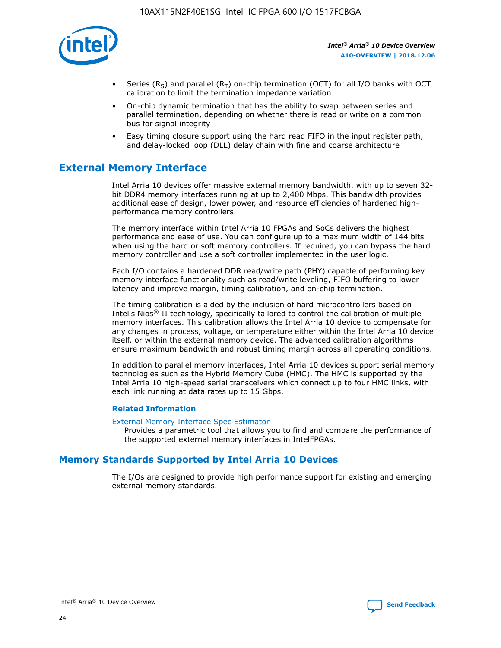

- Series (R<sub>S</sub>) and parallel (R<sub>T</sub>) on-chip termination (OCT) for all I/O banks with OCT calibration to limit the termination impedance variation
- On-chip dynamic termination that has the ability to swap between series and parallel termination, depending on whether there is read or write on a common bus for signal integrity
- Easy timing closure support using the hard read FIFO in the input register path, and delay-locked loop (DLL) delay chain with fine and coarse architecture

# **External Memory Interface**

Intel Arria 10 devices offer massive external memory bandwidth, with up to seven 32 bit DDR4 memory interfaces running at up to 2,400 Mbps. This bandwidth provides additional ease of design, lower power, and resource efficiencies of hardened highperformance memory controllers.

The memory interface within Intel Arria 10 FPGAs and SoCs delivers the highest performance and ease of use. You can configure up to a maximum width of 144 bits when using the hard or soft memory controllers. If required, you can bypass the hard memory controller and use a soft controller implemented in the user logic.

Each I/O contains a hardened DDR read/write path (PHY) capable of performing key memory interface functionality such as read/write leveling, FIFO buffering to lower latency and improve margin, timing calibration, and on-chip termination.

The timing calibration is aided by the inclusion of hard microcontrollers based on Intel's Nios® II technology, specifically tailored to control the calibration of multiple memory interfaces. This calibration allows the Intel Arria 10 device to compensate for any changes in process, voltage, or temperature either within the Intel Arria 10 device itself, or within the external memory device. The advanced calibration algorithms ensure maximum bandwidth and robust timing margin across all operating conditions.

In addition to parallel memory interfaces, Intel Arria 10 devices support serial memory technologies such as the Hybrid Memory Cube (HMC). The HMC is supported by the Intel Arria 10 high-speed serial transceivers which connect up to four HMC links, with each link running at data rates up to 15 Gbps.

### **Related Information**

#### [External Memory Interface Spec Estimator](http://www.altera.com/technology/memory/estimator/mem-emif-index.html)

Provides a parametric tool that allows you to find and compare the performance of the supported external memory interfaces in IntelFPGAs.

## **Memory Standards Supported by Intel Arria 10 Devices**

The I/Os are designed to provide high performance support for existing and emerging external memory standards.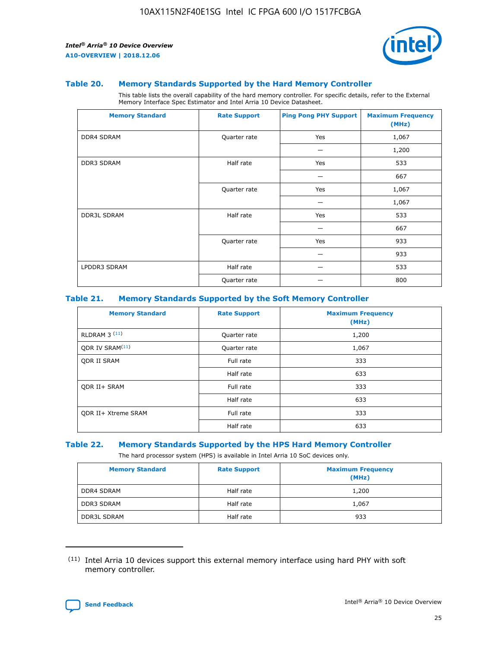

#### **Table 20. Memory Standards Supported by the Hard Memory Controller**

This table lists the overall capability of the hard memory controller. For specific details, refer to the External Memory Interface Spec Estimator and Intel Arria 10 Device Datasheet.

| <b>Memory Standard</b> | <b>Rate Support</b> | <b>Ping Pong PHY Support</b> | <b>Maximum Frequency</b><br>(MHz) |
|------------------------|---------------------|------------------------------|-----------------------------------|
| <b>DDR4 SDRAM</b>      | Quarter rate        | Yes                          | 1,067                             |
|                        |                     |                              | 1,200                             |
| DDR3 SDRAM             | Half rate           | Yes                          | 533                               |
|                        |                     |                              | 667                               |
|                        | Quarter rate        | Yes                          | 1,067                             |
|                        |                     |                              | 1,067                             |
| <b>DDR3L SDRAM</b>     | Half rate           | Yes                          | 533                               |
|                        |                     |                              | 667                               |
|                        | Quarter rate        | Yes                          | 933                               |
|                        |                     |                              | 933                               |
| LPDDR3 SDRAM           | Half rate           |                              | 533                               |
|                        | Quarter rate        |                              | 800                               |

### **Table 21. Memory Standards Supported by the Soft Memory Controller**

| <b>Memory Standard</b>      | <b>Rate Support</b> | <b>Maximum Frequency</b><br>(MHz) |
|-----------------------------|---------------------|-----------------------------------|
| <b>RLDRAM 3 (11)</b>        | Quarter rate        | 1,200                             |
| ODR IV SRAM <sup>(11)</sup> | Quarter rate        | 1,067                             |
| <b>ODR II SRAM</b>          | Full rate           | 333                               |
|                             | Half rate           | 633                               |
| <b>ODR II+ SRAM</b>         | Full rate           | 333                               |
|                             | Half rate           | 633                               |
| <b>ODR II+ Xtreme SRAM</b>  | Full rate           | 333                               |
|                             | Half rate           | 633                               |

#### **Table 22. Memory Standards Supported by the HPS Hard Memory Controller**

The hard processor system (HPS) is available in Intel Arria 10 SoC devices only.

| <b>Memory Standard</b> | <b>Rate Support</b> | <b>Maximum Frequency</b><br>(MHz) |
|------------------------|---------------------|-----------------------------------|
| <b>DDR4 SDRAM</b>      | Half rate           | 1,200                             |
| <b>DDR3 SDRAM</b>      | Half rate           | 1,067                             |
| <b>DDR3L SDRAM</b>     | Half rate           | 933                               |

<sup>(11)</sup> Intel Arria 10 devices support this external memory interface using hard PHY with soft memory controller.

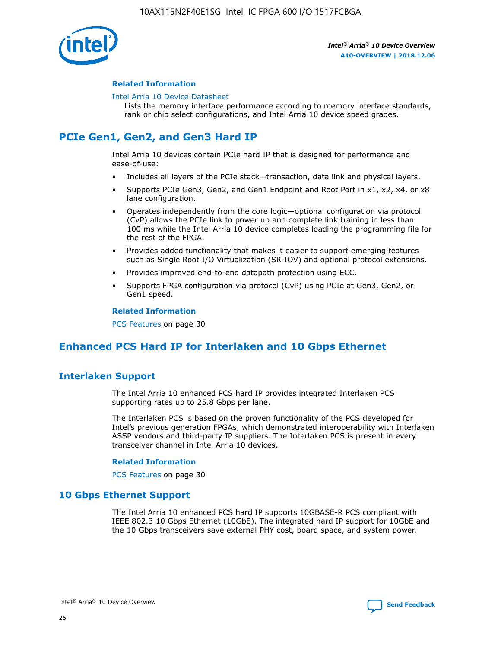

### **Related Information**

#### [Intel Arria 10 Device Datasheet](https://www.intel.com/content/www/us/en/programmable/documentation/mcn1413182292568.html#mcn1413182153340)

Lists the memory interface performance according to memory interface standards, rank or chip select configurations, and Intel Arria 10 device speed grades.

# **PCIe Gen1, Gen2, and Gen3 Hard IP**

Intel Arria 10 devices contain PCIe hard IP that is designed for performance and ease-of-use:

- Includes all layers of the PCIe stack—transaction, data link and physical layers.
- Supports PCIe Gen3, Gen2, and Gen1 Endpoint and Root Port in x1, x2, x4, or x8 lane configuration.
- Operates independently from the core logic—optional configuration via protocol (CvP) allows the PCIe link to power up and complete link training in less than 100 ms while the Intel Arria 10 device completes loading the programming file for the rest of the FPGA.
- Provides added functionality that makes it easier to support emerging features such as Single Root I/O Virtualization (SR-IOV) and optional protocol extensions.
- Provides improved end-to-end datapath protection using ECC.
- Supports FPGA configuration via protocol (CvP) using PCIe at Gen3, Gen2, or Gen1 speed.

#### **Related Information**

PCS Features on page 30

# **Enhanced PCS Hard IP for Interlaken and 10 Gbps Ethernet**

## **Interlaken Support**

The Intel Arria 10 enhanced PCS hard IP provides integrated Interlaken PCS supporting rates up to 25.8 Gbps per lane.

The Interlaken PCS is based on the proven functionality of the PCS developed for Intel's previous generation FPGAs, which demonstrated interoperability with Interlaken ASSP vendors and third-party IP suppliers. The Interlaken PCS is present in every transceiver channel in Intel Arria 10 devices.

### **Related Information**

PCS Features on page 30

## **10 Gbps Ethernet Support**

The Intel Arria 10 enhanced PCS hard IP supports 10GBASE-R PCS compliant with IEEE 802.3 10 Gbps Ethernet (10GbE). The integrated hard IP support for 10GbE and the 10 Gbps transceivers save external PHY cost, board space, and system power.

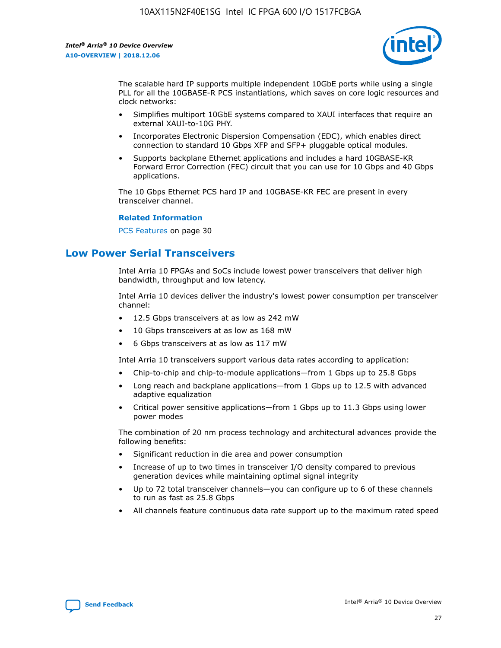

The scalable hard IP supports multiple independent 10GbE ports while using a single PLL for all the 10GBASE-R PCS instantiations, which saves on core logic resources and clock networks:

- Simplifies multiport 10GbE systems compared to XAUI interfaces that require an external XAUI-to-10G PHY.
- Incorporates Electronic Dispersion Compensation (EDC), which enables direct connection to standard 10 Gbps XFP and SFP+ pluggable optical modules.
- Supports backplane Ethernet applications and includes a hard 10GBASE-KR Forward Error Correction (FEC) circuit that you can use for 10 Gbps and 40 Gbps applications.

The 10 Gbps Ethernet PCS hard IP and 10GBASE-KR FEC are present in every transceiver channel.

### **Related Information**

PCS Features on page 30

# **Low Power Serial Transceivers**

Intel Arria 10 FPGAs and SoCs include lowest power transceivers that deliver high bandwidth, throughput and low latency.

Intel Arria 10 devices deliver the industry's lowest power consumption per transceiver channel:

- 12.5 Gbps transceivers at as low as 242 mW
- 10 Gbps transceivers at as low as 168 mW
- 6 Gbps transceivers at as low as 117 mW

Intel Arria 10 transceivers support various data rates according to application:

- Chip-to-chip and chip-to-module applications—from 1 Gbps up to 25.8 Gbps
- Long reach and backplane applications—from 1 Gbps up to 12.5 with advanced adaptive equalization
- Critical power sensitive applications—from 1 Gbps up to 11.3 Gbps using lower power modes

The combination of 20 nm process technology and architectural advances provide the following benefits:

- Significant reduction in die area and power consumption
- Increase of up to two times in transceiver I/O density compared to previous generation devices while maintaining optimal signal integrity
- Up to 72 total transceiver channels—you can configure up to 6 of these channels to run as fast as 25.8 Gbps
- All channels feature continuous data rate support up to the maximum rated speed

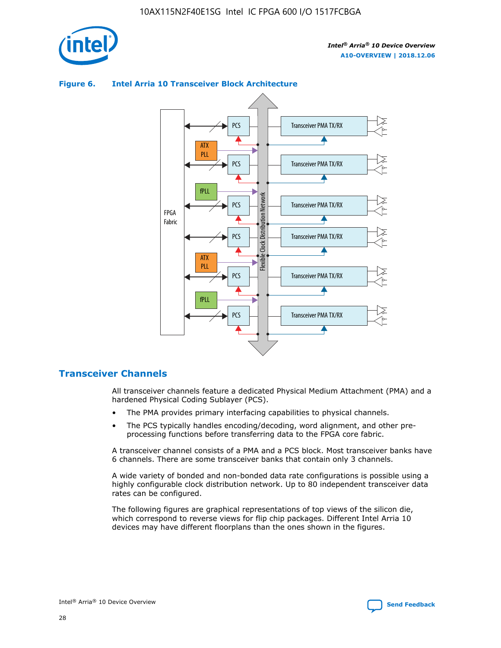



## **Figure 6. Intel Arria 10 Transceiver Block Architecture**

## **Transceiver Channels**

All transceiver channels feature a dedicated Physical Medium Attachment (PMA) and a hardened Physical Coding Sublayer (PCS).

- The PMA provides primary interfacing capabilities to physical channels.
- The PCS typically handles encoding/decoding, word alignment, and other preprocessing functions before transferring data to the FPGA core fabric.

A transceiver channel consists of a PMA and a PCS block. Most transceiver banks have 6 channels. There are some transceiver banks that contain only 3 channels.

A wide variety of bonded and non-bonded data rate configurations is possible using a highly configurable clock distribution network. Up to 80 independent transceiver data rates can be configured.

The following figures are graphical representations of top views of the silicon die, which correspond to reverse views for flip chip packages. Different Intel Arria 10 devices may have different floorplans than the ones shown in the figures.

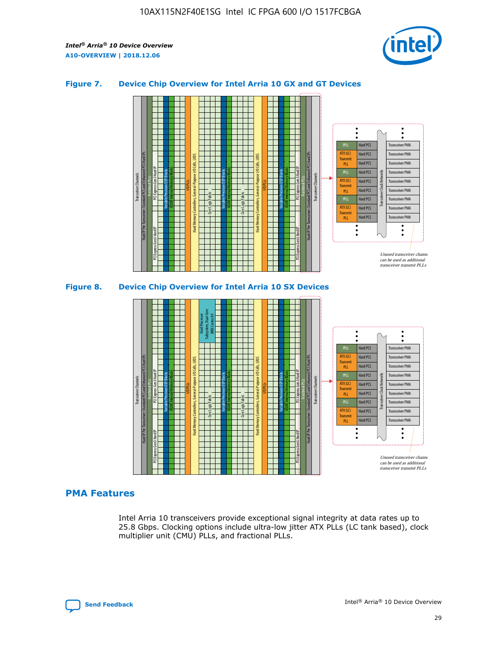

## **Figure 7. Device Chip Overview for Intel Arria 10 GX and GT Devices**





## **PMA Features**

Intel Arria 10 transceivers provide exceptional signal integrity at data rates up to 25.8 Gbps. Clocking options include ultra-low jitter ATX PLLs (LC tank based), clock multiplier unit (CMU) PLLs, and fractional PLLs.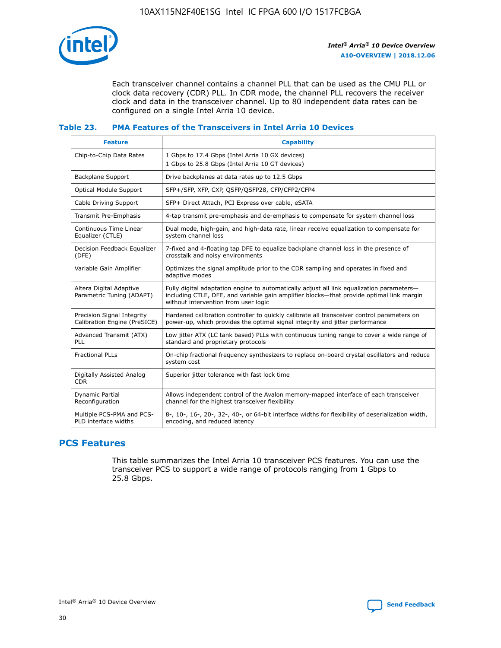

Each transceiver channel contains a channel PLL that can be used as the CMU PLL or clock data recovery (CDR) PLL. In CDR mode, the channel PLL recovers the receiver clock and data in the transceiver channel. Up to 80 independent data rates can be configured on a single Intel Arria 10 device.

## **Table 23. PMA Features of the Transceivers in Intel Arria 10 Devices**

| <b>Feature</b>                                             | <b>Capability</b>                                                                                                                                                                                                             |
|------------------------------------------------------------|-------------------------------------------------------------------------------------------------------------------------------------------------------------------------------------------------------------------------------|
| Chip-to-Chip Data Rates                                    | 1 Gbps to 17.4 Gbps (Intel Arria 10 GX devices)<br>1 Gbps to 25.8 Gbps (Intel Arria 10 GT devices)                                                                                                                            |
| <b>Backplane Support</b>                                   | Drive backplanes at data rates up to 12.5 Gbps                                                                                                                                                                                |
| <b>Optical Module Support</b>                              | SFP+/SFP, XFP, CXP, QSFP/QSFP28, CFP/CFP2/CFP4                                                                                                                                                                                |
| Cable Driving Support                                      | SFP+ Direct Attach, PCI Express over cable, eSATA                                                                                                                                                                             |
| Transmit Pre-Emphasis                                      | 4-tap transmit pre-emphasis and de-emphasis to compensate for system channel loss                                                                                                                                             |
| Continuous Time Linear<br>Equalizer (CTLE)                 | Dual mode, high-gain, and high-data rate, linear receive equalization to compensate for<br>system channel loss                                                                                                                |
| Decision Feedback Equalizer<br>(DFE)                       | 7-fixed and 4-floating tap DFE to equalize backplane channel loss in the presence of<br>crosstalk and noisy environments                                                                                                      |
| Variable Gain Amplifier                                    | Optimizes the signal amplitude prior to the CDR sampling and operates in fixed and<br>adaptive modes                                                                                                                          |
| Altera Digital Adaptive<br>Parametric Tuning (ADAPT)       | Fully digital adaptation engine to automatically adjust all link equalization parameters-<br>including CTLE, DFE, and variable gain amplifier blocks—that provide optimal link margin<br>without intervention from user logic |
| Precision Signal Integrity<br>Calibration Engine (PreSICE) | Hardened calibration controller to quickly calibrate all transceiver control parameters on<br>power-up, which provides the optimal signal integrity and jitter performance                                                    |
| Advanced Transmit (ATX)<br>PLL                             | Low jitter ATX (LC tank based) PLLs with continuous tuning range to cover a wide range of<br>standard and proprietary protocols                                                                                               |
| <b>Fractional PLLs</b>                                     | On-chip fractional frequency synthesizers to replace on-board crystal oscillators and reduce<br>system cost                                                                                                                   |
| Digitally Assisted Analog<br><b>CDR</b>                    | Superior jitter tolerance with fast lock time                                                                                                                                                                                 |
| <b>Dynamic Partial</b><br>Reconfiguration                  | Allows independent control of the Avalon memory-mapped interface of each transceiver<br>channel for the highest transceiver flexibility                                                                                       |
| Multiple PCS-PMA and PCS-<br>PLD interface widths          | 8-, 10-, 16-, 20-, 32-, 40-, or 64-bit interface widths for flexibility of deserialization width,<br>encoding, and reduced latency                                                                                            |

## **PCS Features**

This table summarizes the Intel Arria 10 transceiver PCS features. You can use the transceiver PCS to support a wide range of protocols ranging from 1 Gbps to 25.8 Gbps.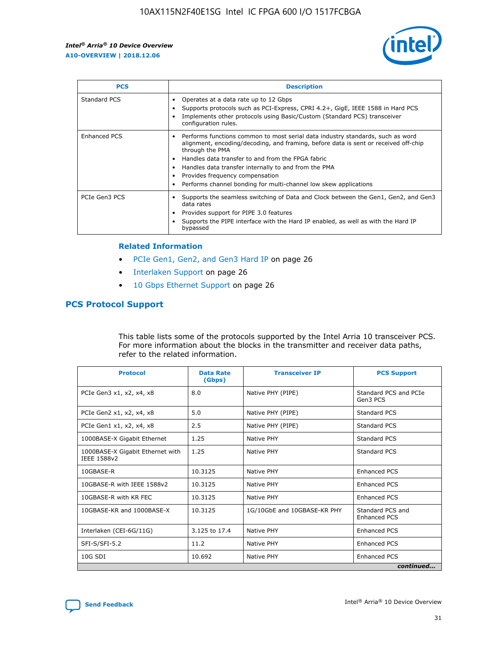

| <b>PCS</b>    | <b>Description</b>                                                                                                                                                                                                                                                                                                                                                                                             |
|---------------|----------------------------------------------------------------------------------------------------------------------------------------------------------------------------------------------------------------------------------------------------------------------------------------------------------------------------------------------------------------------------------------------------------------|
| Standard PCS  | Operates at a data rate up to 12 Gbps<br>Supports protocols such as PCI-Express, CPRI 4.2+, GigE, IEEE 1588 in Hard PCS<br>Implements other protocols using Basic/Custom (Standard PCS) transceiver<br>configuration rules.                                                                                                                                                                                    |
| Enhanced PCS  | Performs functions common to most serial data industry standards, such as word<br>alignment, encoding/decoding, and framing, before data is sent or received off-chip<br>through the PMA<br>• Handles data transfer to and from the FPGA fabric<br>Handles data transfer internally to and from the PMA<br>Provides frequency compensation<br>Performs channel bonding for multi-channel low skew applications |
| PCIe Gen3 PCS | Supports the seamless switching of Data and Clock between the Gen1, Gen2, and Gen3<br>data rates<br>Provides support for PIPE 3.0 features<br>Supports the PIPE interface with the Hard IP enabled, as well as with the Hard IP<br>bypassed                                                                                                                                                                    |

#### **Related Information**

- PCIe Gen1, Gen2, and Gen3 Hard IP on page 26
- Interlaken Support on page 26
- 10 Gbps Ethernet Support on page 26

## **PCS Protocol Support**

This table lists some of the protocols supported by the Intel Arria 10 transceiver PCS. For more information about the blocks in the transmitter and receiver data paths, refer to the related information.

| <b>Protocol</b>                                 | <b>Data Rate</b><br>(Gbps) | <b>Transceiver IP</b>       | <b>PCS Support</b>                      |
|-------------------------------------------------|----------------------------|-----------------------------|-----------------------------------------|
| PCIe Gen3 x1, x2, x4, x8                        | 8.0                        | Native PHY (PIPE)           | Standard PCS and PCIe<br>Gen3 PCS       |
| PCIe Gen2 x1, x2, x4, x8                        | 5.0                        | Native PHY (PIPE)           | <b>Standard PCS</b>                     |
| PCIe Gen1 x1, x2, x4, x8                        | 2.5                        | Native PHY (PIPE)           | Standard PCS                            |
| 1000BASE-X Gigabit Ethernet                     | 1.25                       | Native PHY                  | <b>Standard PCS</b>                     |
| 1000BASE-X Gigabit Ethernet with<br>IEEE 1588v2 | 1.25                       | Native PHY                  | Standard PCS                            |
| 10GBASE-R                                       | 10.3125                    | Native PHY                  | <b>Enhanced PCS</b>                     |
| 10GBASE-R with IEEE 1588v2                      | 10.3125                    | Native PHY                  | <b>Enhanced PCS</b>                     |
| 10GBASE-R with KR FEC                           | 10.3125                    | Native PHY                  | <b>Enhanced PCS</b>                     |
| 10GBASE-KR and 1000BASE-X                       | 10.3125                    | 1G/10GbE and 10GBASE-KR PHY | Standard PCS and<br><b>Enhanced PCS</b> |
| Interlaken (CEI-6G/11G)                         | 3.125 to 17.4              | Native PHY                  | <b>Enhanced PCS</b>                     |
| SFI-S/SFI-5.2                                   | 11.2                       | Native PHY                  | <b>Enhanced PCS</b>                     |
| $10G$ SDI                                       | 10.692                     | Native PHY                  | <b>Enhanced PCS</b>                     |
|                                                 |                            |                             | continued                               |

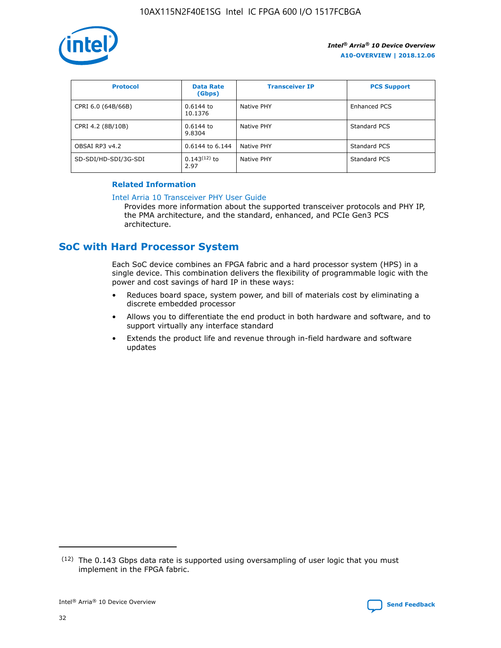

| <b>Protocol</b>      | <b>Data Rate</b><br>(Gbps) | <b>Transceiver IP</b> | <b>PCS Support</b> |
|----------------------|----------------------------|-----------------------|--------------------|
| CPRI 6.0 (64B/66B)   | 0.6144 to<br>10.1376       | Native PHY            | Enhanced PCS       |
| CPRI 4.2 (8B/10B)    | 0.6144 to<br>9.8304        | Native PHY            | Standard PCS       |
| OBSAI RP3 v4.2       | 0.6144 to 6.144            | Native PHY            | Standard PCS       |
| SD-SDI/HD-SDI/3G-SDI | $0.143(12)$ to<br>2.97     | Native PHY            | Standard PCS       |

## **Related Information**

#### [Intel Arria 10 Transceiver PHY User Guide](https://www.intel.com/content/www/us/en/programmable/documentation/nik1398707230472.html#nik1398707091164)

Provides more information about the supported transceiver protocols and PHY IP, the PMA architecture, and the standard, enhanced, and PCIe Gen3 PCS architecture.

# **SoC with Hard Processor System**

Each SoC device combines an FPGA fabric and a hard processor system (HPS) in a single device. This combination delivers the flexibility of programmable logic with the power and cost savings of hard IP in these ways:

- Reduces board space, system power, and bill of materials cost by eliminating a discrete embedded processor
- Allows you to differentiate the end product in both hardware and software, and to support virtually any interface standard
- Extends the product life and revenue through in-field hardware and software updates

<sup>(12)</sup> The 0.143 Gbps data rate is supported using oversampling of user logic that you must implement in the FPGA fabric.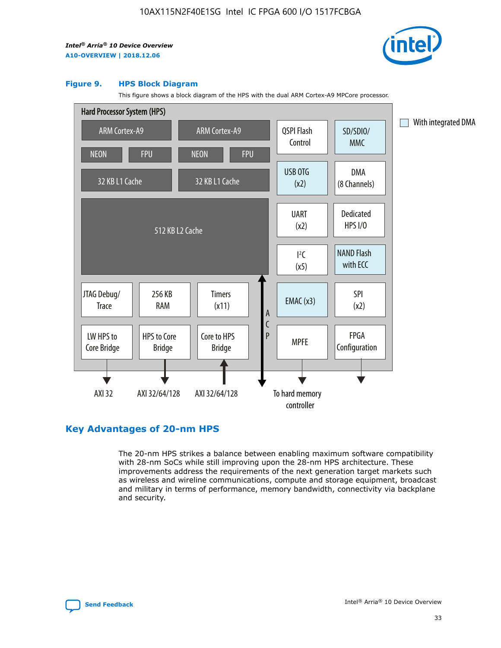

#### **Figure 9. HPS Block Diagram**

This figure shows a block diagram of the HPS with the dual ARM Cortex-A9 MPCore processor.



## **Key Advantages of 20-nm HPS**

The 20-nm HPS strikes a balance between enabling maximum software compatibility with 28-nm SoCs while still improving upon the 28-nm HPS architecture. These improvements address the requirements of the next generation target markets such as wireless and wireline communications, compute and storage equipment, broadcast and military in terms of performance, memory bandwidth, connectivity via backplane and security.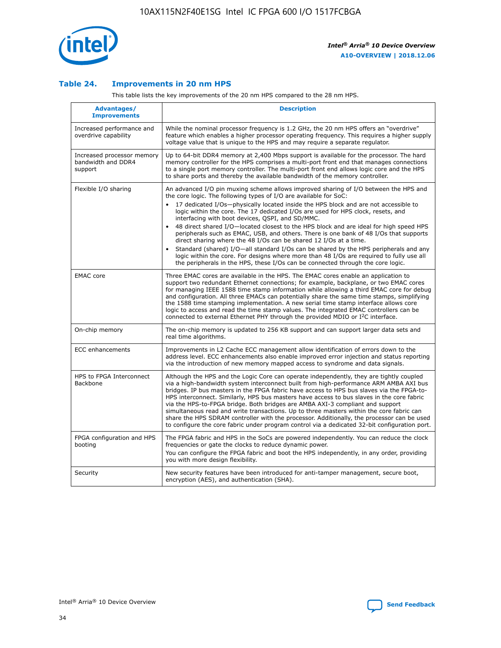

## **Table 24. Improvements in 20 nm HPS**

This table lists the key improvements of the 20 nm HPS compared to the 28 nm HPS.

| Advantages/<br><b>Improvements</b>                          | <b>Description</b>                                                                                                                                                                                                                                                                                                                                                                                                                                                                                                                                                                                                                                                                                                                                                                                                                   |
|-------------------------------------------------------------|--------------------------------------------------------------------------------------------------------------------------------------------------------------------------------------------------------------------------------------------------------------------------------------------------------------------------------------------------------------------------------------------------------------------------------------------------------------------------------------------------------------------------------------------------------------------------------------------------------------------------------------------------------------------------------------------------------------------------------------------------------------------------------------------------------------------------------------|
| Increased performance and<br>overdrive capability           | While the nominal processor frequency is 1.2 GHz, the 20 nm HPS offers an "overdrive"<br>feature which enables a higher processor operating frequency. This requires a higher supply<br>voltage value that is unique to the HPS and may require a separate regulator.                                                                                                                                                                                                                                                                                                                                                                                                                                                                                                                                                                |
| Increased processor memory<br>bandwidth and DDR4<br>support | Up to 64-bit DDR4 memory at 2,400 Mbps support is available for the processor. The hard<br>memory controller for the HPS comprises a multi-port front end that manages connections<br>to a single port memory controller. The multi-port front end allows logic core and the HPS<br>to share ports and thereby the available bandwidth of the memory controller.                                                                                                                                                                                                                                                                                                                                                                                                                                                                     |
| Flexible I/O sharing                                        | An advanced I/O pin muxing scheme allows improved sharing of I/O between the HPS and<br>the core logic. The following types of I/O are available for SoC:<br>17 dedicated I/Os-physically located inside the HPS block and are not accessible to<br>logic within the core. The 17 dedicated I/Os are used for HPS clock, resets, and<br>interfacing with boot devices, QSPI, and SD/MMC.<br>48 direct shared I/O-located closest to the HPS block and are ideal for high speed HPS<br>peripherals such as EMAC, USB, and others. There is one bank of 48 I/Os that supports<br>direct sharing where the 48 I/Os can be shared 12 I/Os at a time.<br>Standard (shared) I/O-all standard I/Os can be shared by the HPS peripherals and any<br>logic within the core. For designs where more than 48 I/Os are reguired to fully use all |
| <b>EMAC</b> core                                            | the peripherals in the HPS, these I/Os can be connected through the core logic.<br>Three EMAC cores are available in the HPS. The EMAC cores enable an application to<br>support two redundant Ethernet connections; for example, backplane, or two EMAC cores<br>for managing IEEE 1588 time stamp information while allowing a third EMAC core for debug<br>and configuration. All three EMACs can potentially share the same time stamps, simplifying<br>the 1588 time stamping implementation. A new serial time stamp interface allows core<br>logic to access and read the time stamp values. The integrated EMAC controllers can be<br>connected to external Ethernet PHY through the provided MDIO or I <sup>2</sup> C interface.                                                                                            |
| On-chip memory                                              | The on-chip memory is updated to 256 KB support and can support larger data sets and<br>real time algorithms.                                                                                                                                                                                                                                                                                                                                                                                                                                                                                                                                                                                                                                                                                                                        |
| <b>ECC</b> enhancements                                     | Improvements in L2 Cache ECC management allow identification of errors down to the<br>address level. ECC enhancements also enable improved error injection and status reporting<br>via the introduction of new memory mapped access to syndrome and data signals.                                                                                                                                                                                                                                                                                                                                                                                                                                                                                                                                                                    |
| HPS to FPGA Interconnect<br>Backbone                        | Although the HPS and the Logic Core can operate independently, they are tightly coupled<br>via a high-bandwidth system interconnect built from high-performance ARM AMBA AXI bus<br>bridges. IP bus masters in the FPGA fabric have access to HPS bus slaves via the FPGA-to-<br>HPS interconnect. Similarly, HPS bus masters have access to bus slaves in the core fabric<br>via the HPS-to-FPGA bridge. Both bridges are AMBA AXI-3 compliant and support<br>simultaneous read and write transactions. Up to three masters within the core fabric can<br>share the HPS SDRAM controller with the processor. Additionally, the processor can be used<br>to configure the core fabric under program control via a dedicated 32-bit configuration port.                                                                               |
| FPGA configuration and HPS<br>booting                       | The FPGA fabric and HPS in the SoCs are powered independently. You can reduce the clock<br>frequencies or gate the clocks to reduce dynamic power.<br>You can configure the FPGA fabric and boot the HPS independently, in any order, providing<br>you with more design flexibility.                                                                                                                                                                                                                                                                                                                                                                                                                                                                                                                                                 |
| Security                                                    | New security features have been introduced for anti-tamper management, secure boot,<br>encryption (AES), and authentication (SHA).                                                                                                                                                                                                                                                                                                                                                                                                                                                                                                                                                                                                                                                                                                   |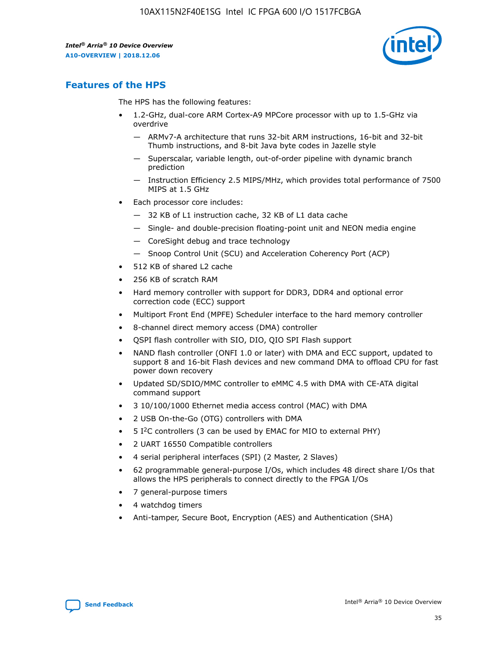

## **Features of the HPS**

The HPS has the following features:

- 1.2-GHz, dual-core ARM Cortex-A9 MPCore processor with up to 1.5-GHz via overdrive
	- ARMv7-A architecture that runs 32-bit ARM instructions, 16-bit and 32-bit Thumb instructions, and 8-bit Java byte codes in Jazelle style
	- Superscalar, variable length, out-of-order pipeline with dynamic branch prediction
	- Instruction Efficiency 2.5 MIPS/MHz, which provides total performance of 7500 MIPS at 1.5 GHz
- Each processor core includes:
	- 32 KB of L1 instruction cache, 32 KB of L1 data cache
	- Single- and double-precision floating-point unit and NEON media engine
	- CoreSight debug and trace technology
	- Snoop Control Unit (SCU) and Acceleration Coherency Port (ACP)
- 512 KB of shared L2 cache
- 256 KB of scratch RAM
- Hard memory controller with support for DDR3, DDR4 and optional error correction code (ECC) support
- Multiport Front End (MPFE) Scheduler interface to the hard memory controller
- 8-channel direct memory access (DMA) controller
- QSPI flash controller with SIO, DIO, QIO SPI Flash support
- NAND flash controller (ONFI 1.0 or later) with DMA and ECC support, updated to support 8 and 16-bit Flash devices and new command DMA to offload CPU for fast power down recovery
- Updated SD/SDIO/MMC controller to eMMC 4.5 with DMA with CE-ATA digital command support
- 3 10/100/1000 Ethernet media access control (MAC) with DMA
- 2 USB On-the-Go (OTG) controllers with DMA
- $\bullet$  5 I<sup>2</sup>C controllers (3 can be used by EMAC for MIO to external PHY)
- 2 UART 16550 Compatible controllers
- 4 serial peripheral interfaces (SPI) (2 Master, 2 Slaves)
- 62 programmable general-purpose I/Os, which includes 48 direct share I/Os that allows the HPS peripherals to connect directly to the FPGA I/Os
- 7 general-purpose timers
- 4 watchdog timers
- Anti-tamper, Secure Boot, Encryption (AES) and Authentication (SHA)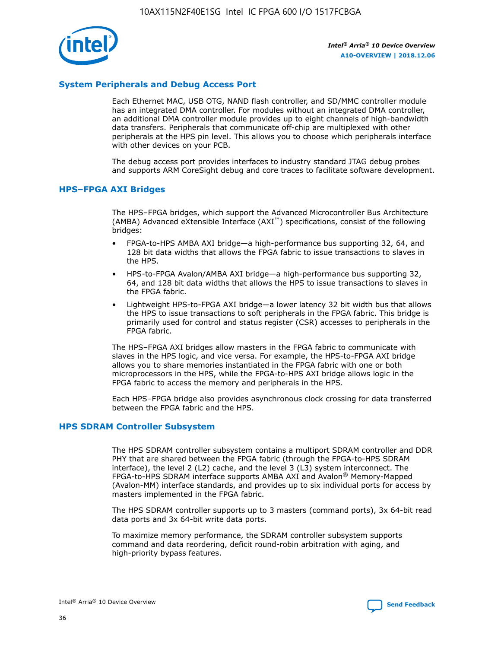

## **System Peripherals and Debug Access Port**

Each Ethernet MAC, USB OTG, NAND flash controller, and SD/MMC controller module has an integrated DMA controller. For modules without an integrated DMA controller, an additional DMA controller module provides up to eight channels of high-bandwidth data transfers. Peripherals that communicate off-chip are multiplexed with other peripherals at the HPS pin level. This allows you to choose which peripherals interface with other devices on your PCB.

The debug access port provides interfaces to industry standard JTAG debug probes and supports ARM CoreSight debug and core traces to facilitate software development.

#### **HPS–FPGA AXI Bridges**

The HPS–FPGA bridges, which support the Advanced Microcontroller Bus Architecture (AMBA) Advanced eXtensible Interface (AXI™) specifications, consist of the following bridges:

- FPGA-to-HPS AMBA AXI bridge—a high-performance bus supporting 32, 64, and 128 bit data widths that allows the FPGA fabric to issue transactions to slaves in the HPS.
- HPS-to-FPGA Avalon/AMBA AXI bridge—a high-performance bus supporting 32, 64, and 128 bit data widths that allows the HPS to issue transactions to slaves in the FPGA fabric.
- Lightweight HPS-to-FPGA AXI bridge—a lower latency 32 bit width bus that allows the HPS to issue transactions to soft peripherals in the FPGA fabric. This bridge is primarily used for control and status register (CSR) accesses to peripherals in the FPGA fabric.

The HPS–FPGA AXI bridges allow masters in the FPGA fabric to communicate with slaves in the HPS logic, and vice versa. For example, the HPS-to-FPGA AXI bridge allows you to share memories instantiated in the FPGA fabric with one or both microprocessors in the HPS, while the FPGA-to-HPS AXI bridge allows logic in the FPGA fabric to access the memory and peripherals in the HPS.

Each HPS–FPGA bridge also provides asynchronous clock crossing for data transferred between the FPGA fabric and the HPS.

#### **HPS SDRAM Controller Subsystem**

The HPS SDRAM controller subsystem contains a multiport SDRAM controller and DDR PHY that are shared between the FPGA fabric (through the FPGA-to-HPS SDRAM interface), the level 2 (L2) cache, and the level 3 (L3) system interconnect. The FPGA-to-HPS SDRAM interface supports AMBA AXI and Avalon® Memory-Mapped (Avalon-MM) interface standards, and provides up to six individual ports for access by masters implemented in the FPGA fabric.

The HPS SDRAM controller supports up to 3 masters (command ports), 3x 64-bit read data ports and 3x 64-bit write data ports.

To maximize memory performance, the SDRAM controller subsystem supports command and data reordering, deficit round-robin arbitration with aging, and high-priority bypass features.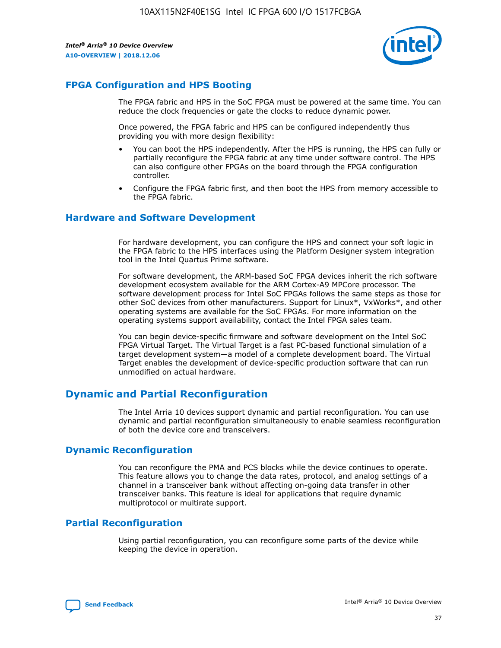

## **FPGA Configuration and HPS Booting**

The FPGA fabric and HPS in the SoC FPGA must be powered at the same time. You can reduce the clock frequencies or gate the clocks to reduce dynamic power.

Once powered, the FPGA fabric and HPS can be configured independently thus providing you with more design flexibility:

- You can boot the HPS independently. After the HPS is running, the HPS can fully or partially reconfigure the FPGA fabric at any time under software control. The HPS can also configure other FPGAs on the board through the FPGA configuration controller.
- Configure the FPGA fabric first, and then boot the HPS from memory accessible to the FPGA fabric.

## **Hardware and Software Development**

For hardware development, you can configure the HPS and connect your soft logic in the FPGA fabric to the HPS interfaces using the Platform Designer system integration tool in the Intel Quartus Prime software.

For software development, the ARM-based SoC FPGA devices inherit the rich software development ecosystem available for the ARM Cortex-A9 MPCore processor. The software development process for Intel SoC FPGAs follows the same steps as those for other SoC devices from other manufacturers. Support for Linux\*, VxWorks\*, and other operating systems are available for the SoC FPGAs. For more information on the operating systems support availability, contact the Intel FPGA sales team.

You can begin device-specific firmware and software development on the Intel SoC FPGA Virtual Target. The Virtual Target is a fast PC-based functional simulation of a target development system—a model of a complete development board. The Virtual Target enables the development of device-specific production software that can run unmodified on actual hardware.

## **Dynamic and Partial Reconfiguration**

The Intel Arria 10 devices support dynamic and partial reconfiguration. You can use dynamic and partial reconfiguration simultaneously to enable seamless reconfiguration of both the device core and transceivers.

## **Dynamic Reconfiguration**

You can reconfigure the PMA and PCS blocks while the device continues to operate. This feature allows you to change the data rates, protocol, and analog settings of a channel in a transceiver bank without affecting on-going data transfer in other transceiver banks. This feature is ideal for applications that require dynamic multiprotocol or multirate support.

## **Partial Reconfiguration**

Using partial reconfiguration, you can reconfigure some parts of the device while keeping the device in operation.

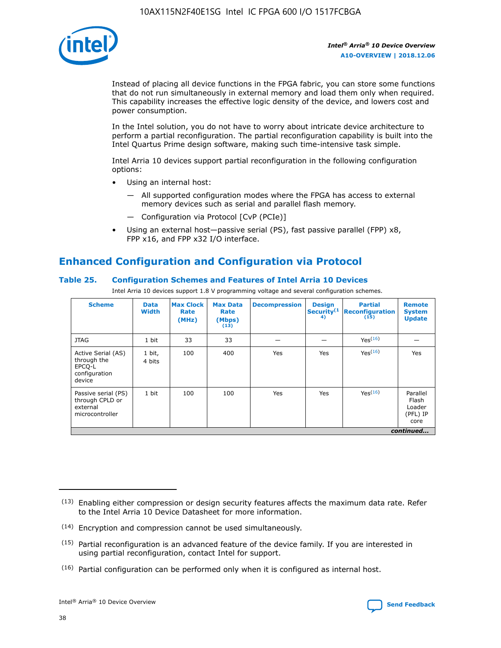

Instead of placing all device functions in the FPGA fabric, you can store some functions that do not run simultaneously in external memory and load them only when required. This capability increases the effective logic density of the device, and lowers cost and power consumption.

In the Intel solution, you do not have to worry about intricate device architecture to perform a partial reconfiguration. The partial reconfiguration capability is built into the Intel Quartus Prime design software, making such time-intensive task simple.

Intel Arria 10 devices support partial reconfiguration in the following configuration options:

- Using an internal host:
	- All supported configuration modes where the FPGA has access to external memory devices such as serial and parallel flash memory.
	- Configuration via Protocol [CvP (PCIe)]
- Using an external host—passive serial (PS), fast passive parallel (FPP) x8, FPP x16, and FPP x32 I/O interface.

# **Enhanced Configuration and Configuration via Protocol**

## **Table 25. Configuration Schemes and Features of Intel Arria 10 Devices**

Intel Arria 10 devices support 1.8 V programming voltage and several configuration schemes.

| <b>Scheme</b>                                                          | <b>Data</b><br><b>Width</b> | <b>Max Clock</b><br>Rate<br>(MHz) | <b>Max Data</b><br>Rate<br>(Mbps)<br>(13) | <b>Decompression</b> | <b>Design</b><br>Security <sup>(1</sup><br>4) | <b>Partial</b><br><b>Reconfiguration</b><br>(15) | <b>Remote</b><br><b>System</b><br><b>Update</b> |
|------------------------------------------------------------------------|-----------------------------|-----------------------------------|-------------------------------------------|----------------------|-----------------------------------------------|--------------------------------------------------|-------------------------------------------------|
| <b>JTAG</b>                                                            | 1 bit                       | 33                                | 33                                        |                      |                                               | Yes(16)                                          |                                                 |
| Active Serial (AS)<br>through the<br>EPCO-L<br>configuration<br>device | 1 bit,<br>4 bits            | 100                               | 400                                       | Yes                  | Yes                                           | $Y_{PS}(16)$                                     | Yes                                             |
| Passive serial (PS)<br>through CPLD or<br>external<br>microcontroller  | 1 bit                       | 100                               | 100                                       | Yes                  | Yes                                           | Yes(16)                                          | Parallel<br>Flash<br>Loader<br>(PFL) IP<br>core |
|                                                                        |                             |                                   |                                           |                      |                                               |                                                  | continued                                       |

<sup>(13)</sup> Enabling either compression or design security features affects the maximum data rate. Refer to the Intel Arria 10 Device Datasheet for more information.

<sup>(14)</sup> Encryption and compression cannot be used simultaneously.

 $(15)$  Partial reconfiguration is an advanced feature of the device family. If you are interested in using partial reconfiguration, contact Intel for support.

 $(16)$  Partial configuration can be performed only when it is configured as internal host.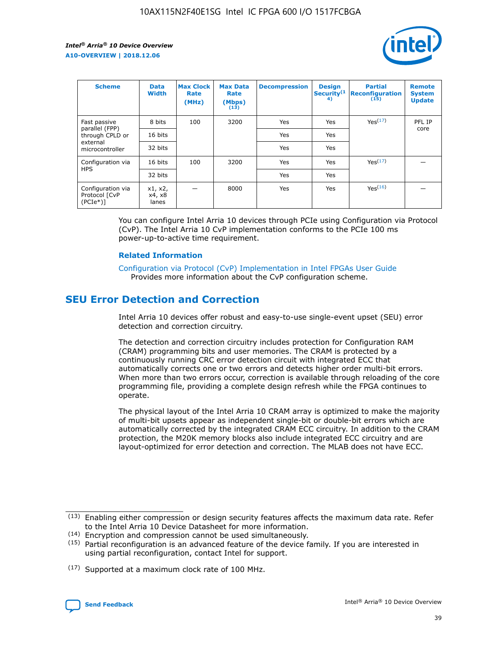

| <b>Scheme</b>                                   | <b>Data</b><br><b>Width</b> | <b>Max Clock</b><br>Rate<br>(MHz) | <b>Max Data</b><br>Rate<br>(Mbps)<br>(13) | <b>Decompression</b> | <b>Design</b><br>Security <sup>(1</sup><br>4) | <b>Partial</b><br><b>Reconfiguration</b><br>(15) | <b>Remote</b><br><b>System</b><br><b>Update</b> |
|-------------------------------------------------|-----------------------------|-----------------------------------|-------------------------------------------|----------------------|-----------------------------------------------|--------------------------------------------------|-------------------------------------------------|
| Fast passive                                    | 8 bits                      | 100                               | 3200                                      | Yes                  | Yes                                           | Yes(17)                                          | PFL IP                                          |
| parallel (FPP)<br>through CPLD or               | 16 bits                     |                                   |                                           | Yes                  | Yes                                           |                                                  | core                                            |
| external<br>microcontroller                     | 32 bits                     |                                   |                                           | Yes                  | Yes                                           |                                                  |                                                 |
| Configuration via                               | 16 bits                     | 100                               | 3200                                      | Yes                  | Yes                                           | Yes <sup>(17)</sup>                              |                                                 |
| <b>HPS</b>                                      | 32 bits                     |                                   |                                           | Yes                  | Yes                                           |                                                  |                                                 |
| Configuration via<br>Protocol [CvP<br>$(PCIe*)$ | x1, x2,<br>x4, x8<br>lanes  |                                   | 8000                                      | Yes                  | Yes                                           | Yes <sup>(16)</sup>                              |                                                 |

You can configure Intel Arria 10 devices through PCIe using Configuration via Protocol (CvP). The Intel Arria 10 CvP implementation conforms to the PCIe 100 ms power-up-to-active time requirement.

#### **Related Information**

[Configuration via Protocol \(CvP\) Implementation in Intel FPGAs User Guide](https://www.intel.com/content/www/us/en/programmable/documentation/dsu1441819344145.html#dsu1442269728522) Provides more information about the CvP configuration scheme.

# **SEU Error Detection and Correction**

Intel Arria 10 devices offer robust and easy-to-use single-event upset (SEU) error detection and correction circuitry.

The detection and correction circuitry includes protection for Configuration RAM (CRAM) programming bits and user memories. The CRAM is protected by a continuously running CRC error detection circuit with integrated ECC that automatically corrects one or two errors and detects higher order multi-bit errors. When more than two errors occur, correction is available through reloading of the core programming file, providing a complete design refresh while the FPGA continues to operate.

The physical layout of the Intel Arria 10 CRAM array is optimized to make the majority of multi-bit upsets appear as independent single-bit or double-bit errors which are automatically corrected by the integrated CRAM ECC circuitry. In addition to the CRAM protection, the M20K memory blocks also include integrated ECC circuitry and are layout-optimized for error detection and correction. The MLAB does not have ECC.

(14) Encryption and compression cannot be used simultaneously.

<sup>(17)</sup> Supported at a maximum clock rate of 100 MHz.



 $(13)$  Enabling either compression or design security features affects the maximum data rate. Refer to the Intel Arria 10 Device Datasheet for more information.

 $(15)$  Partial reconfiguration is an advanced feature of the device family. If you are interested in using partial reconfiguration, contact Intel for support.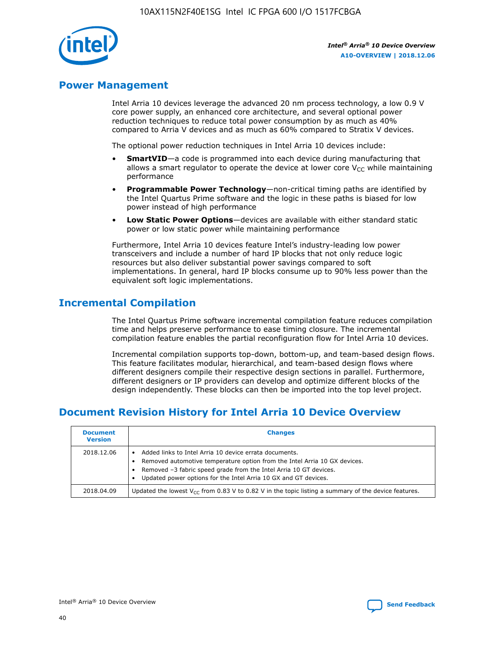

## **Power Management**

Intel Arria 10 devices leverage the advanced 20 nm process technology, a low 0.9 V core power supply, an enhanced core architecture, and several optional power reduction techniques to reduce total power consumption by as much as 40% compared to Arria V devices and as much as 60% compared to Stratix V devices.

The optional power reduction techniques in Intel Arria 10 devices include:

- **SmartVID**—a code is programmed into each device during manufacturing that allows a smart regulator to operate the device at lower core  $V_{CC}$  while maintaining performance
- **Programmable Power Technology**—non-critical timing paths are identified by the Intel Quartus Prime software and the logic in these paths is biased for low power instead of high performance
- **Low Static Power Options**—devices are available with either standard static power or low static power while maintaining performance

Furthermore, Intel Arria 10 devices feature Intel's industry-leading low power transceivers and include a number of hard IP blocks that not only reduce logic resources but also deliver substantial power savings compared to soft implementations. In general, hard IP blocks consume up to 90% less power than the equivalent soft logic implementations.

# **Incremental Compilation**

The Intel Quartus Prime software incremental compilation feature reduces compilation time and helps preserve performance to ease timing closure. The incremental compilation feature enables the partial reconfiguration flow for Intel Arria 10 devices.

Incremental compilation supports top-down, bottom-up, and team-based design flows. This feature facilitates modular, hierarchical, and team-based design flows where different designers compile their respective design sections in parallel. Furthermore, different designers or IP providers can develop and optimize different blocks of the design independently. These blocks can then be imported into the top level project.

# **Document Revision History for Intel Arria 10 Device Overview**

| <b>Document</b><br><b>Version</b> | <b>Changes</b>                                                                                                                                                                                                                                                              |
|-----------------------------------|-----------------------------------------------------------------------------------------------------------------------------------------------------------------------------------------------------------------------------------------------------------------------------|
| 2018.12.06                        | Added links to Intel Arria 10 device errata documents.<br>Removed automotive temperature option from the Intel Arria 10 GX devices.<br>Removed -3 fabric speed grade from the Intel Arria 10 GT devices.<br>Updated power options for the Intel Arria 10 GX and GT devices. |
| 2018.04.09                        | Updated the lowest $V_{CC}$ from 0.83 V to 0.82 V in the topic listing a summary of the device features.                                                                                                                                                                    |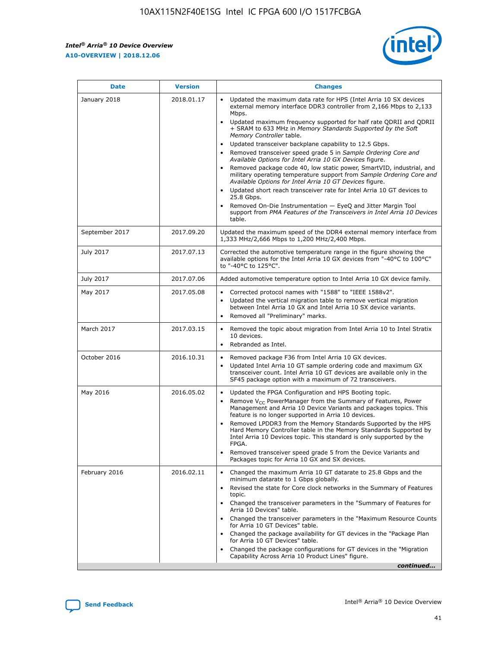*Intel® Arria® 10 Device Overview* **A10-OVERVIEW | 2018.12.06**



| <b>Date</b>    | <b>Version</b> | <b>Changes</b>                                                                                                                                                                                                                                                                                                                                                                                                                                                                                                                                                                                                                                                                                                                                                                                                                                                                                                                                                                         |
|----------------|----------------|----------------------------------------------------------------------------------------------------------------------------------------------------------------------------------------------------------------------------------------------------------------------------------------------------------------------------------------------------------------------------------------------------------------------------------------------------------------------------------------------------------------------------------------------------------------------------------------------------------------------------------------------------------------------------------------------------------------------------------------------------------------------------------------------------------------------------------------------------------------------------------------------------------------------------------------------------------------------------------------|
| January 2018   | 2018.01.17     | Updated the maximum data rate for HPS (Intel Arria 10 SX devices<br>external memory interface DDR3 controller from 2,166 Mbps to 2,133<br>Mbps.<br>Updated maximum frequency supported for half rate QDRII and QDRII<br>+ SRAM to 633 MHz in Memory Standards Supported by the Soft<br>Memory Controller table.<br>Updated transceiver backplane capability to 12.5 Gbps.<br>$\bullet$<br>Removed transceiver speed grade 5 in Sample Ordering Core and<br>$\bullet$<br>Available Options for Intel Arria 10 GX Devices figure.<br>Removed package code 40, low static power, SmartVID, industrial, and<br>military operating temperature support from Sample Ordering Core and<br>Available Options for Intel Arria 10 GT Devices figure.<br>Updated short reach transceiver rate for Intel Arria 10 GT devices to<br>25.8 Gbps.<br>Removed On-Die Instrumentation - EyeQ and Jitter Margin Tool<br>support from PMA Features of the Transceivers in Intel Arria 10 Devices<br>table. |
| September 2017 | 2017.09.20     | Updated the maximum speed of the DDR4 external memory interface from<br>1,333 MHz/2,666 Mbps to 1,200 MHz/2,400 Mbps.                                                                                                                                                                                                                                                                                                                                                                                                                                                                                                                                                                                                                                                                                                                                                                                                                                                                  |
| July 2017      | 2017.07.13     | Corrected the automotive temperature range in the figure showing the<br>available options for the Intel Arria 10 GX devices from "-40°C to 100°C"<br>to "-40°C to 125°C".                                                                                                                                                                                                                                                                                                                                                                                                                                                                                                                                                                                                                                                                                                                                                                                                              |
| July 2017      | 2017.07.06     | Added automotive temperature option to Intel Arria 10 GX device family.                                                                                                                                                                                                                                                                                                                                                                                                                                                                                                                                                                                                                                                                                                                                                                                                                                                                                                                |
| May 2017       | 2017.05.08     | Corrected protocol names with "1588" to "IEEE 1588v2".<br>$\bullet$<br>Updated the vertical migration table to remove vertical migration<br>$\bullet$<br>between Intel Arria 10 GX and Intel Arria 10 SX device variants.<br>Removed all "Preliminary" marks.<br>$\bullet$                                                                                                                                                                                                                                                                                                                                                                                                                                                                                                                                                                                                                                                                                                             |
| March 2017     | 2017.03.15     | Removed the topic about migration from Intel Arria 10 to Intel Stratix<br>$\bullet$<br>10 devices.<br>Rebranded as Intel.<br>$\bullet$                                                                                                                                                                                                                                                                                                                                                                                                                                                                                                                                                                                                                                                                                                                                                                                                                                                 |
| October 2016   | 2016.10.31     | Removed package F36 from Intel Arria 10 GX devices.<br>Updated Intel Arria 10 GT sample ordering code and maximum GX<br>$\bullet$<br>transceiver count. Intel Arria 10 GT devices are available only in the<br>SF45 package option with a maximum of 72 transceivers.                                                                                                                                                                                                                                                                                                                                                                                                                                                                                                                                                                                                                                                                                                                  |
| May 2016       | 2016.05.02     | Updated the FPGA Configuration and HPS Booting topic.<br>$\bullet$<br>Remove V <sub>CC</sub> PowerManager from the Summary of Features, Power<br>Management and Arria 10 Device Variants and packages topics. This<br>feature is no longer supported in Arria 10 devices.<br>Removed LPDDR3 from the Memory Standards Supported by the HPS<br>Hard Memory Controller table in the Memory Standards Supported by<br>Intel Arria 10 Devices topic. This standard is only supported by the<br>FPGA.<br>Removed transceiver speed grade 5 from the Device Variants and<br>Packages topic for Arria 10 GX and SX devices.                                                                                                                                                                                                                                                                                                                                                                   |
| February 2016  | 2016.02.11     | Changed the maximum Arria 10 GT datarate to 25.8 Gbps and the<br>minimum datarate to 1 Gbps globally.<br>Revised the state for Core clock networks in the Summary of Features<br>$\bullet$<br>topic.<br>Changed the transceiver parameters in the "Summary of Features for<br>$\bullet$<br>Arria 10 Devices" table.<br>• Changed the transceiver parameters in the "Maximum Resource Counts<br>for Arria 10 GT Devices" table.<br>Changed the package availability for GT devices in the "Package Plan<br>for Arria 10 GT Devices" table.<br>Changed the package configurations for GT devices in the "Migration"<br>Capability Across Arria 10 Product Lines" figure.<br>continued                                                                                                                                                                                                                                                                                                    |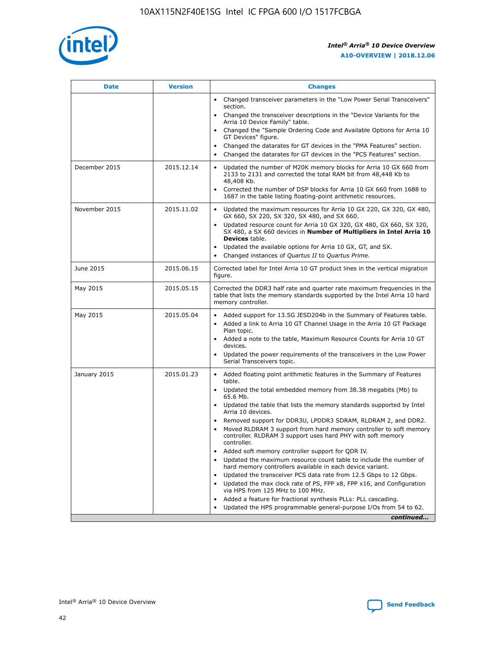

| <b>Date</b>   | <b>Version</b> | <b>Changes</b>                                                                                                                                                               |
|---------------|----------------|------------------------------------------------------------------------------------------------------------------------------------------------------------------------------|
|               |                | Changed transceiver parameters in the "Low Power Serial Transceivers"<br>$\bullet$<br>section.                                                                               |
|               |                | • Changed the transceiver descriptions in the "Device Variants for the<br>Arria 10 Device Family" table.                                                                     |
|               |                | • Changed the "Sample Ordering Code and Available Options for Arria 10<br>GT Devices" figure.                                                                                |
|               |                | Changed the datarates for GT devices in the "PMA Features" section.                                                                                                          |
|               |                | Changed the datarates for GT devices in the "PCS Features" section.<br>$\bullet$                                                                                             |
| December 2015 | 2015.12.14     | Updated the number of M20K memory blocks for Arria 10 GX 660 from<br>2133 to 2131 and corrected the total RAM bit from 48,448 Kb to<br>48,408 Kb.                            |
|               |                | Corrected the number of DSP blocks for Arria 10 GX 660 from 1688 to<br>$\bullet$<br>1687 in the table listing floating-point arithmetic resources.                           |
| November 2015 | 2015.11.02     | Updated the maximum resources for Arria 10 GX 220, GX 320, GX 480,<br>GX 660, SX 220, SX 320, SX 480, and SX 660.                                                            |
|               |                | Updated resource count for Arria 10 GX 320, GX 480, GX 660, SX 320,<br>SX 480, a SX 660 devices in Number of Multipliers in Intel Arria 10<br><b>Devices</b> table.          |
|               |                | Updated the available options for Arria 10 GX, GT, and SX.<br>$\bullet$                                                                                                      |
|               |                | Changed instances of Quartus II to Quartus Prime.<br>$\bullet$                                                                                                               |
| June 2015     | 2015.06.15     | Corrected label for Intel Arria 10 GT product lines in the vertical migration<br>figure.                                                                                     |
| May 2015      | 2015.05.15     | Corrected the DDR3 half rate and quarter rate maximum frequencies in the<br>table that lists the memory standards supported by the Intel Arria 10 hard<br>memory controller. |
| May 2015      | 2015.05.04     | • Added support for 13.5G JESD204b in the Summary of Features table.<br>Added a link to Arria 10 GT Channel Usage in the Arria 10 GT Package<br>$\bullet$<br>Plan topic.     |
|               |                | • Added a note to the table, Maximum Resource Counts for Arria 10 GT<br>devices.                                                                                             |
|               |                | • Updated the power requirements of the transceivers in the Low Power<br>Serial Transceivers topic.                                                                          |
| January 2015  | 2015.01.23     | • Added floating point arithmetic features in the Summary of Features<br>table.                                                                                              |
|               |                | • Updated the total embedded memory from 38.38 megabits (Mb) to<br>65.6 Mb.                                                                                                  |
|               |                | • Updated the table that lists the memory standards supported by Intel<br>Arria 10 devices.                                                                                  |
|               |                | Removed support for DDR3U, LPDDR3 SDRAM, RLDRAM 2, and DDR2.                                                                                                                 |
|               |                | Moved RLDRAM 3 support from hard memory controller to soft memory<br>controller. RLDRAM 3 support uses hard PHY with soft memory<br>controller.                              |
|               |                | Added soft memory controller support for QDR IV.                                                                                                                             |
|               |                | Updated the maximum resource count table to include the number of<br>hard memory controllers available in each device variant.                                               |
|               |                | Updated the transceiver PCS data rate from 12.5 Gbps to 12 Gbps.                                                                                                             |
|               |                | Updated the max clock rate of PS, FPP x8, FPP x16, and Configuration<br>via HPS from 125 MHz to 100 MHz.                                                                     |
|               |                | Added a feature for fractional synthesis PLLs: PLL cascading.                                                                                                                |
|               |                | Updated the HPS programmable general-purpose I/Os from 54 to 62.<br>$\bullet$                                                                                                |
|               |                | continued                                                                                                                                                                    |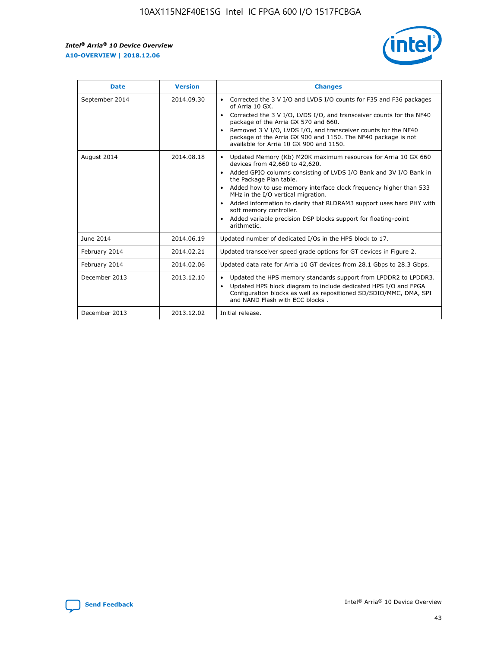

| <b>Date</b>    | <b>Version</b> | <b>Changes</b>                                                                                                                                                                                                                                                                                                                                                                                                                                                                                                                                      |
|----------------|----------------|-----------------------------------------------------------------------------------------------------------------------------------------------------------------------------------------------------------------------------------------------------------------------------------------------------------------------------------------------------------------------------------------------------------------------------------------------------------------------------------------------------------------------------------------------------|
| September 2014 | 2014.09.30     | Corrected the 3 V I/O and LVDS I/O counts for F35 and F36 packages<br>$\bullet$<br>of Arria 10 GX.<br>Corrected the 3 V I/O, LVDS I/O, and transceiver counts for the NF40<br>$\bullet$<br>package of the Arria GX 570 and 660.<br>Removed 3 V I/O, LVDS I/O, and transceiver counts for the NF40<br>$\bullet$<br>package of the Arria GX 900 and 1150. The NF40 package is not<br>available for Arria 10 GX 900 and 1150.                                                                                                                          |
| August 2014    | 2014.08.18     | Updated Memory (Kb) M20K maximum resources for Arria 10 GX 660<br>devices from 42,660 to 42,620.<br>Added GPIO columns consisting of LVDS I/O Bank and 3V I/O Bank in<br>$\bullet$<br>the Package Plan table.<br>Added how to use memory interface clock frequency higher than 533<br>$\bullet$<br>MHz in the I/O vertical migration.<br>Added information to clarify that RLDRAM3 support uses hard PHY with<br>$\bullet$<br>soft memory controller.<br>Added variable precision DSP blocks support for floating-point<br>$\bullet$<br>arithmetic. |
| June 2014      | 2014.06.19     | Updated number of dedicated I/Os in the HPS block to 17.                                                                                                                                                                                                                                                                                                                                                                                                                                                                                            |
| February 2014  | 2014.02.21     | Updated transceiver speed grade options for GT devices in Figure 2.                                                                                                                                                                                                                                                                                                                                                                                                                                                                                 |
| February 2014  | 2014.02.06     | Updated data rate for Arria 10 GT devices from 28.1 Gbps to 28.3 Gbps.                                                                                                                                                                                                                                                                                                                                                                                                                                                                              |
| December 2013  | 2013.12.10     | Updated the HPS memory standards support from LPDDR2 to LPDDR3.<br>Updated HPS block diagram to include dedicated HPS I/O and FPGA<br>$\bullet$<br>Configuration blocks as well as repositioned SD/SDIO/MMC, DMA, SPI<br>and NAND Flash with ECC blocks.                                                                                                                                                                                                                                                                                            |
| December 2013  | 2013.12.02     | Initial release.                                                                                                                                                                                                                                                                                                                                                                                                                                                                                                                                    |